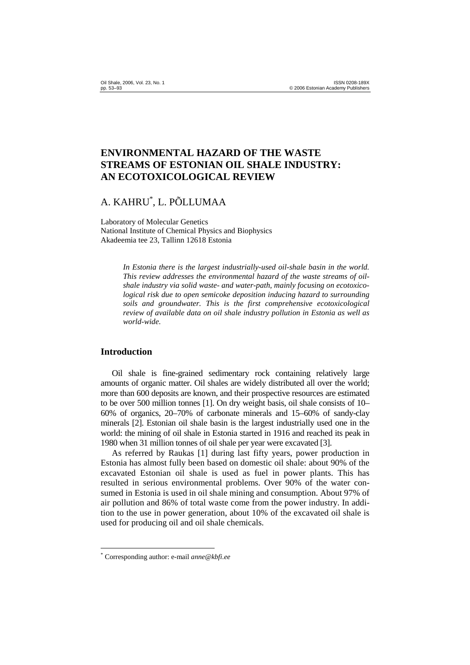# **ENVIRONMENTAL HAZARD OF THE WASTE STREAMS OF ESTONIAN OIL SHALE INDUSTRY: AN ECOTOXICOLOGICAL REVIEW**

# A. KAHRU\* , L. PÕLLUMAA

Laboratory of Molecular Genetics National Institute of Chemical Physics and Biophysics Akadeemia tee 23, Tallinn 12618 Estonia

> *In Estonia there is the largest industrially-used oil-shale basin in the world. This review addresses the environmental hazard of the waste streams of oilshale industry via solid waste- and water-path, mainly focusing on ecotoxicological risk due to open semicoke deposition inducing hazard to surrounding soils and groundwater. This is the first comprehensive ecotoxicological review of available data on oil shale industry pollution in Estonia as well as world-wide.*

### **Introduction**

 $\overline{a}$ 

Oil shale is fine-grained sedimentary rock containing relatively large amounts of organic matter. Oil shales are widely distributed all over the world; more than 600 deposits are known, and their prospective resources are estimated to be over 500 million tonnes [1]. On dry weight basis, oil shale consists of 10– 60% of organics, 20–70% of carbonate minerals and 15–60% of sandy-clay minerals [2]. Estonian oil shale basin is the largest industrially used one in the world: the mining of oil shale in Estonia started in 1916 and reached its peak in 1980 when 31 million tonnes of oil shale per year were excavated [3].

As referred by Raukas [1] during last fifty years, power production in Estonia has almost fully been based on domestic oil shale: about 90% of the excavated Estonian oil shale is used as fuel in power plants. This has resulted in serious environmental problems. Over 90% of the water consumed in Estonia is used in oil shale mining and consumption. About 97% of air pollution and 86% of total waste come from the power industry. In addition to the use in power generation, about 10% of the excavated oil shale is used for producing oil and oil shale chemicals.

<sup>\*</sup> Corresponding author: e-mail *anne@kbfi.ee*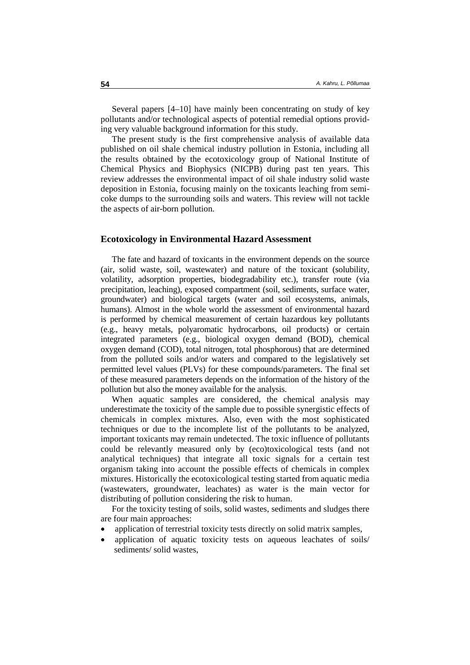Several papers [4–10] have mainly been concentrating on study of key pollutants and/or technological aspects of potential remedial options providing very valuable background information for this study.

The present study is the first comprehensive analysis of available data published on oil shale chemical industry pollution in Estonia, including all the results obtained by the ecotoxicology group of National Institute of Chemical Physics and Biophysics (NICPB) during past ten years. This review addresses the environmental impact of oil shale industry solid waste deposition in Estonia, focusing mainly on the toxicants leaching from semicoke dumps to the surrounding soils and waters. This review will not tackle the aspects of air-born pollution.

### **Ecotoxicology in Environmental Hazard Assessment**

The fate and hazard of toxicants in the environment depends on the source (air, solid waste, soil, wastewater) and nature of the toxicant (solubility, volatility, adsorption properties, biodegradability etc.), transfer route (via precipitation, leaching), exposed compartment (soil, sediments, surface water, groundwater) and biological targets (water and soil ecosystems, animals, humans). Almost in the whole world the assessment of environmental hazard is performed by chemical measurement of certain hazardous key pollutants (e.g., heavy metals, polyaromatic hydrocarbons, oil products) or certain integrated parameters (e.g., biological oxygen demand (BOD), chemical oxygen demand (COD), total nitrogen, total phosphorous) that are determined from the polluted soils and/or waters and compared to the legislatively set permitted level values (PLVs) for these compounds/parameters. The final set of these measured parameters depends on the information of the history of the pollution but also the money available for the analysis.

When aquatic samples are considered, the chemical analysis may underestimate the toxicity of the sample due to possible synergistic effects of chemicals in complex mixtures. Also, even with the most sophisticated techniques or due to the incomplete list of the pollutants to be analyzed, important toxicants may remain undetected. The toxic influence of pollutants could be relevantly measured only by (eco)toxicological tests (and not analytical techniques) that integrate all toxic signals for a certain test organism taking into account the possible effects of chemicals in complex mixtures. Historically the ecotoxicological testing started from aquatic media (wastewaters, groundwater, leachates) as water is the main vector for distributing of pollution considering the risk to human.

For the toxicity testing of soils, solid wastes, sediments and sludges there are four main approaches:

- application of terrestrial toxicity tests directly on solid matrix samples,
- application of aquatic toxicity tests on aqueous leachates of soils/ sediments/ solid wastes.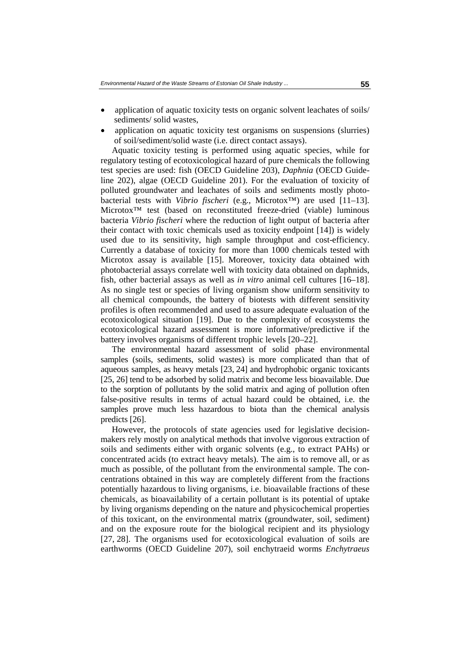- application of aquatic toxicity tests on organic solvent leachates of soils/ sediments/ solid wastes,
- application on aquatic toxicity test organisms on suspensions (slurries) of soil/sediment/solid waste (i.e. direct contact assays).

Aquatic toxicity testing is performed using aquatic species, while for regulatory testing of ecotoxicological hazard of pure chemicals the following test species are used: fish (OECD Guideline 203), *Daphnia* (OECD Guideline 202), algae (OECD Guideline 201). For the evaluation of toxicity of polluted groundwater and leachates of soils and sediments mostly photobacterial tests with *Vibrio fischeri* (e.g., Microtox™) are used [11–13]. Microtox™ test (based on reconstituted freeze-dried (viable) luminous bacteria *Vibrio fischeri* where the reduction of light output of bacteria after their contact with toxic chemicals used as toxicity endpoint [14]) is widely used due to its sensitivity, high sample throughput and cost-efficiency. Currently a database of toxicity for more than 1000 chemicals tested with Microtox assay is available [15]. Moreover, toxicity data obtained with photobacterial assays correlate well with toxicity data obtained on daphnids, fish, other bacterial assays as well as *in vitro* animal cell cultures [16–18]. As no single test or species of living organism show uniform sensitivity to all chemical compounds, the battery of biotests with different sensitivity profiles is often recommended and used to assure adequate evaluation of the ecotoxicological situation [19]. Due to the complexity of ecosystems the ecotoxicological hazard assessment is more informative/predictive if the battery involves organisms of different trophic levels [20–22].

The environmental hazard assessment of solid phase environmental samples (soils, sediments, solid wastes) is more complicated than that of aqueous samples, as heavy metals [23, 24] and hydrophobic organic toxicants [25, 26] tend to be adsorbed by solid matrix and become less bioavailable. Due to the sorption of pollutants by the solid matrix and aging of pollution often false-positive results in terms of actual hazard could be obtained, i.e. the samples prove much less hazardous to biota than the chemical analysis predicts [26].

However, the protocols of state agencies used for legislative decisionmakers rely mostly on analytical methods that involve vigorous extraction of soils and sediments either with organic solvents (e.g., to extract PAHs) or concentrated acids (to extract heavy metals). The aim is to remove all, or as much as possible, of the pollutant from the environmental sample. The concentrations obtained in this way are completely different from the fractions potentially hazardous to living organisms, i.e. bioavailable fractions of these chemicals, as bioavailability of a certain pollutant is its potential of uptake by living organisms depending on the nature and physicochemical properties of this toxicant, on the environmental matrix (groundwater, soil, sediment) and on the exposure route for the biological recipient and its physiology [27, 28]. The organisms used for ecotoxicological evaluation of soils are earthworms (OECD Guideline 207), soil enchytraeid worms *Enchytraeus*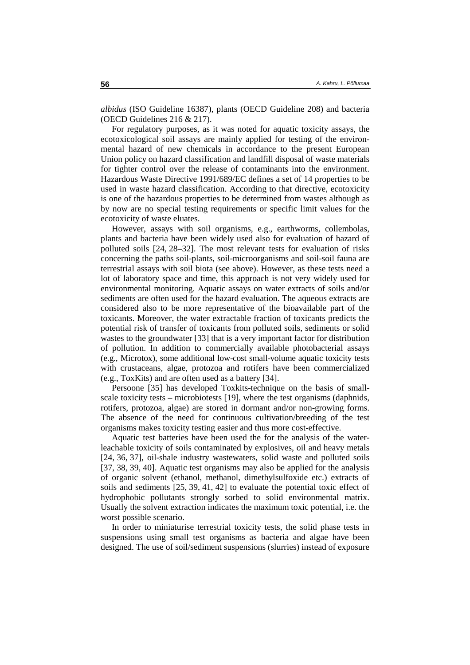*albidus* (ISO Guideline 16387), plants (OECD Guideline 208) and bacteria (OECD Guidelines 216 & 217).

For regulatory purposes, as it was noted for aquatic toxicity assays, the ecotoxicological soil assays are mainly applied for testing of the environmental hazard of new chemicals in accordance to the present European Union policy on hazard classification and landfill disposal of waste materials for tighter control over the release of contaminants into the environment. Hazardous Waste Directive 1991/689/EC defines a set of 14 properties to be used in waste hazard classification. According to that directive, ecotoxicity is one of the hazardous properties to be determined from wastes although as by now are no special testing requirements or specific limit values for the ecotoxicity of waste eluates.

However, assays with soil organisms, e.g., earthworms, collembolas, plants and bacteria have been widely used also for evaluation of hazard of polluted soils [24, 28–32]. The most relevant tests for evaluation of risks concerning the paths soil-plants, soil-microorganisms and soil-soil fauna are terrestrial assays with soil biota (see above). However, as these tests need a lot of laboratory space and time, this approach is not very widely used for environmental monitoring. Aquatic assays on water extracts of soils and/or sediments are often used for the hazard evaluation. The aqueous extracts are considered also to be more representative of the bioavailable part of the toxicants. Moreover, the water extractable fraction of toxicants predicts the potential risk of transfer of toxicants from polluted soils, sediments or solid wastes to the groundwater [33] that is a very important factor for distribution of pollution. In addition to commercially available photobacterial assays (e.g., Microtox), some additional low-cost small-volume aquatic toxicity tests with crustaceans, algae, protozoa and rotifers have been commercialized (e.g., ToxKits) and are often used as a battery [34].

Persoone [35] has developed Toxkits-technique on the basis of smallscale toxicity tests – microbiotests [19], where the test organisms (daphnids, rotifers, protozoa, algae) are stored in dormant and/or non-growing forms. The absence of the need for continuous cultivation/breeding of the test organisms makes toxicity testing easier and thus more cost-effective.

Aquatic test batteries have been used the for the analysis of the waterleachable toxicity of soils contaminated by explosives, oil and heavy metals [24, 36, 37], oil-shale industry wastewaters, solid waste and polluted soils [37, 38, 39, 40]. Aquatic test organisms may also be applied for the analysis of organic solvent (ethanol, methanol, dimethylsulfoxide etc.) extracts of soils and sediments [25, 39, 41, 42] to evaluate the potential toxic effect of hydrophobic pollutants strongly sorbed to solid environmental matrix. Usually the solvent extraction indicates the maximum toxic potential, i.e. the worst possible scenario.

In order to miniaturise terrestrial toxicity tests, the solid phase tests in suspensions using small test organisms as bacteria and algae have been designed. The use of soil/sediment suspensions (slurries) instead of exposure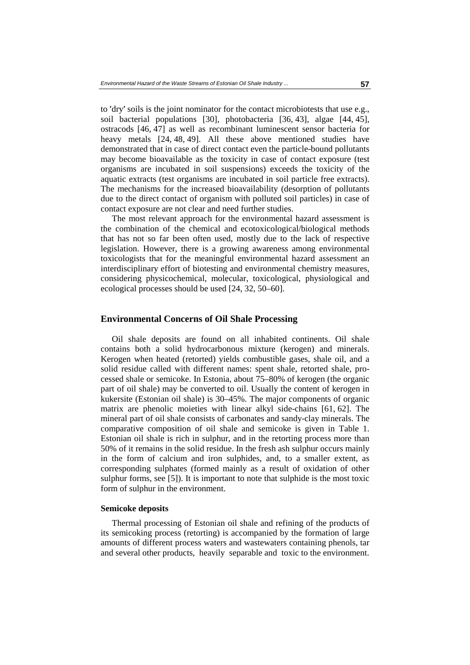to 'dry' soils is the joint nominator for the contact microbiotests that use e.g., to 'dry' soils is the joint nominator for the contact microbiotests that use e.g., soil bacterial populations [30], photobacteria [36, 43], algae [44, 45], ostracods [46, 47] as well as recombinant luminescent sensor bacte soil bacterial populations [30], photobacteria [36, 43], algae [44, 45], heavy metals [24, 48, 49]. All these above mentioned studies have demonstrated that in case of direct contact even the particle-bound pollutants may become bioavailable as the toxicity in case of contact exposure (test organisms are incubated in soil suspensions) exceeds the toxicity of the aquatic extracts (test organisms are incubated in soil particle free extracts). The mechanisms for the increased bioavailability (desorption of pollutants due to the direct contact of organism with polluted soil particles) in case of contact exposure are not clear and need further studies.

The most relevant approach for the environmental hazard assessment is the combination of the chemical and ecotoxicological/biological methods that has not so far been often used, mostly due to the lack of respective legislation. However, there is a growing awareness among environmental toxicologists that for the meaningful environmental hazard assessment an interdisciplinary effort of biotesting and environmental chemistry measures, considering physicochemical, molecular, toxicological, physiological and ecological processes should be used [24, 32, 50–60].

## **Environmental Concerns of Oil Shale Processing**

Oil shale deposits are found on all inhabited continents. Oil shale contains both a solid hydrocarbonous mixture (kerogen) and minerals. Kerogen when heated (retorted) yields combustible gases, shale oil, and a solid residue called with different names: spent shale, retorted shale, processed shale or semicoke. In Estonia, about 75–80% of kerogen (the organic part of oil shale) may be converted to oil. Usually the content of kerogen in kukersite (Estonian oil shale) is 30–45%. The major components of organic matrix are phenolic moieties with linear alkyl side-chains [61, 62]. The mineral part of oil shale consists of carbonates and sandy-clay minerals. The comparative composition of oil shale and semicoke is given in Table 1. Estonian oil shale is rich in sulphur, and in the retorting process more than 50% of it remains in the solid residue. In the fresh ash sulphur occurs mainly in the form of calcium and iron sulphides, and, to a smaller extent, as corresponding sulphates (formed mainly as a result of oxidation of other sulphur forms, see [5]). It is important to note that sulphide is the most toxic form of sulphur in the environment.

#### **Semicoke deposits**

Thermal processing of Estonian oil shale and refining of the products of its semicoking process (retorting) is accompanied by the formation of large amounts of different process waters and wastewaters containing phenols, tar and several other products, heavily separable and toxic to the environment.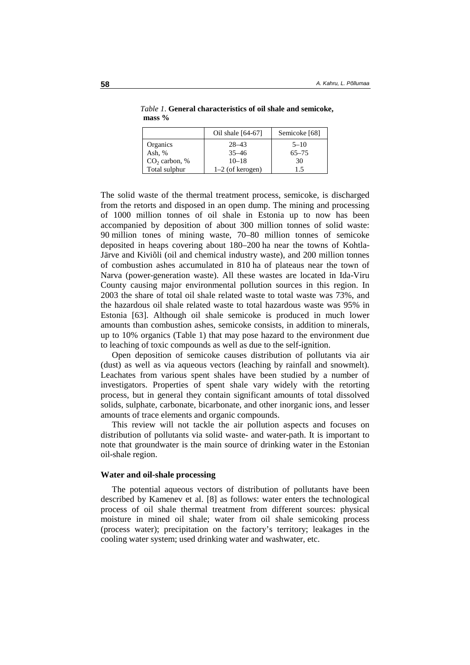|                 | Oil shale $[64-67]$ | Semicoke [68] |
|-----------------|---------------------|---------------|
| Organics        | $28 - 43$           | $5 - 10$      |
| Ash, $%$        | $35 - 46$           | $65 - 75$     |
| $CO2$ carbon, % | $10 - 18$           | 30            |
| Total sulphur   | $1-2$ (of kerogen)  | 1.5           |

 *Table 1*. **General characteristics of oil shale and semicoke, mass %** 

The solid waste of the thermal treatment process, semicoke, is discharged from the retorts and disposed in an open dump. The mining and processing of 1000 million tonnes of oil shale in Estonia up to now has been accompanied by deposition of about 300 million tonnes of solid waste: 90 million tones of mining waste, 70–80 million tonnes of semicoke deposited in heaps covering about 180–200 ha near the towns of Kohtla-Järve and Kiviõli (oil and chemical industry waste), and 200 million tonnes of combustion ashes accumulated in 810 ha of plateaus near the town of Narva (power-generation waste). All these wastes are located in Ida-Viru County causing major environmental pollution sources in this region. In 2003 the share of total oil shale related waste to total waste was 73%, and the hazardous oil shale related waste to total hazardous waste was 95% in Estonia [63]. Although oil shale semicoke is produced in much lower amounts than combustion ashes, semicoke consists, in addition to minerals, up to 10% organics (Table 1) that may pose hazard to the environment due to leaching of toxic compounds as well as due to the self-ignition.

Open deposition of semicoke causes distribution of pollutants via air (dust) as well as via aqueous vectors (leaching by rainfall and snowmelt). Leachates from various spent shales have been studied by a number of investigators. Properties of spent shale vary widely with the retorting process, but in general they contain significant amounts of total dissolved solids, sulphate, carbonate, bicarbonate, and other inorganic ions, and lesser amounts of trace elements and organic compounds.

This review will not tackle the air pollution aspects and focuses on distribution of pollutants via solid waste- and water-path. It is important to note that groundwater is the main source of drinking water in the Estonian oil-shale region.

#### **Water and oil-shale processing**

The potential aqueous vectors of distribution of pollutants have been described by Kamenev et al. [8] as follows: water enters the technological process of oil shale thermal treatment from different sources: physical moisture in mined oil shale; water from oil shale semicoking process (process water); precipitation on the factory's territory; leakages in the cooling water system; used drinking water and washwater, etc.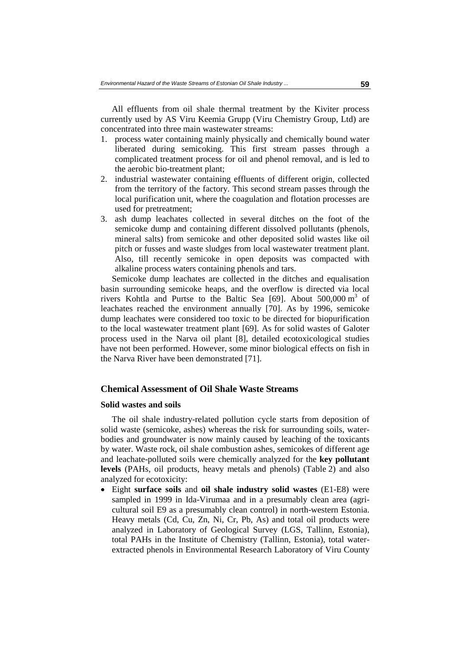All effluents from oil shale thermal treatment by the Kiviter process currently used by AS Viru Keemia Grupp (Viru Chemistry Group, Ltd) are concentrated into three main wastewater streams:

- 1. process water containing mainly physically and chemically bound water liberated during semicoking. This first stream passes through a complicated treatment process for oil and phenol removal, and is led to the aerobic bio-treatment plant;
- 2. industrial wastewater containing effluents of different origin, collected from the territory of the factory. This second stream passes through the local purification unit, where the coagulation and flotation processes are used for pretreatment;
- 3. ash dump leachates collected in several ditches on the foot of the semicoke dump and containing different dissolved pollutants (phenols, mineral salts) from semicoke and other deposited solid wastes like oil pitch or fusses and waste sludges from local wastewater treatment plant. Also, till recently semicoke in open deposits was compacted with alkaline process waters containing phenols and tars.

Semicoke dump leachates are collected in the ditches and equalisation basin surrounding semicoke heaps, and the overflow is directed via local rivers Kohtla and Purtse to the Baltic Sea [69]. About  $500,000 \text{ m}^3$  of leachates reached the environment annually [70]. As by 1996, semicoke dump leachates were considered too toxic to be directed for biopurification to the local wastewater treatment plant [69]. As for solid wastes of Galoter process used in the Narva oil plant [8], detailed ecotoxicological studies have not been performed. However, some minor biological effects on fish in the Narva River have been demonstrated [71].

### **Chemical Assessment of Oil Shale Waste Streams**

#### **Solid wastes and soils**

The oil shale industry-related pollution cycle starts from deposition of solid waste (semicoke, ashes) whereas the risk for surrounding soils, waterbodies and groundwater is now mainly caused by leaching of the toxicants by water. Waste rock, oil shale combustion ashes, semicokes of different age and leachate-polluted soils were chemically analyzed for the **key pollutant levels** (PAHs, oil products, heavy metals and phenols) (Table 2) and also analyzed for ecotoxicity:

• Eight **surface soils** and **oil shale industry solid wastes** (E1-E8) were sampled in 1999 in Ida-Virumaa and in a presumably clean area (agricultural soil E9 as a presumably clean control) in north-western Estonia. Heavy metals (Cd, Cu, Zn, Ni, Cr, Pb, As) and total oil products were analyzed in Laboratory of Geological Survey (LGS, Tallinn, Estonia), total PAHs in the Institute of Chemistry (Tallinn, Estonia), total waterextracted phenols in Environmental Research Laboratory of Viru County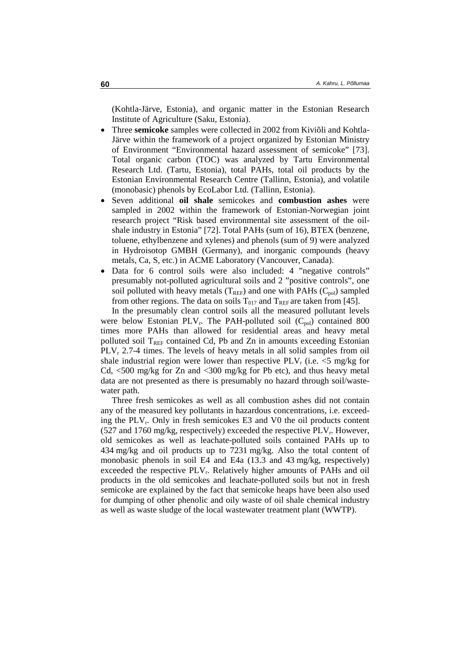(Kohtla-Järve, Estonia), and organic matter in the Estonian Research Institute of Agriculture (Saku, Estonia).

- Three **semicoke** samples were collected in 2002 from Kiviõli and Kohtla-Järve within the framework of a project organized by Estonian Ministry of Environment "Environmental hazard assessment of semicoke" [73]. Total organic carbon (TOC) was analyzed by Tartu Environmental Research Ltd. (Tartu, Estonia), total PAHs, total oil products by the Estonian Environmental Research Centre (Tallinn, Estonia), and volatile (monobasic) phenols by EcoLabor Ltd. (Tallinn, Estonia).
- Seven additional **oil shale** semicokes and **combustion ashes** were sampled in 2002 within the framework of Estonian-Norwegian joint research project "Risk based environmental site assessment of the oilshale industry in Estonia" [72]. Total PAHs (sum of 16), BTEX (benzene, toluene, ethylbenzene and xylenes) and phenols (sum of 9) were analyzed in Hydroisotop GMBH (Germany), and inorganic compounds (heavy metals, Ca, S, etc.) in ACME Laboratory (Vancouver, Canada).
- Data for 6 control soils were also included: 4 "negative controls" presumably not-polluted agricultural soils and 2 "positive controls", one soil polluted with heavy metals ( $T_{REF}$ ) and one with PAHs ( $C_{pol}$ ) sampled from other regions. The data on soils  $T<sub>017</sub>$  and  $T<sub>REF</sub>$  are taken from [45].

In the presumably clean control soils all the measured pollutant levels were below Estonian PLV<sub>r</sub>. The PAH-polluted soil  $(C_{pol})$  contained 800 times more PAHs than allowed for residential areas and heavy metal polluted soil  $T_{REF}$  contained Cd, Pb and Zn in amounts exceeding Estonian  $PLV_r$  2.7-4 times. The levels of heavy metals in all solid samples from oil shale industrial region were lower than respective  $PLV_r$  (i.e.  $\leq 5$  mg/kg for Cd, <500 mg/kg for Zn and <300 mg/kg for Pb etc), and thus heavy metal data are not presented as there is presumably no hazard through soil/wastewater path.

Three fresh semicokes as well as all combustion ashes did not contain any of the measured key pollutants in hazardous concentrations, i.e. exceeding the PLVr. Only in fresh semicokes E3 and V0 the oil products content (527 and 1760 mg/kg, respectively) exceeded the respective  $PLV_r$ . However, old semicokes as well as leachate-polluted soils contained PAHs up to 434 mg/kg and oil products up to 7231 mg/kg. Also the total content of monobasic phenols in soil E4 and E4a (13.3 and 43 mg/kg, respectively) exceeded the respective PLV<sub>r</sub>. Relatively higher amounts of PAHs and oil products in the old semicokes and leachate-polluted soils but not in fresh semicoke are explained by the fact that semicoke heaps have been also used for dumping of other phenolic and oily waste of oil shale chemical industry as well as waste sludge of the local wastewater treatment plant (WWTP).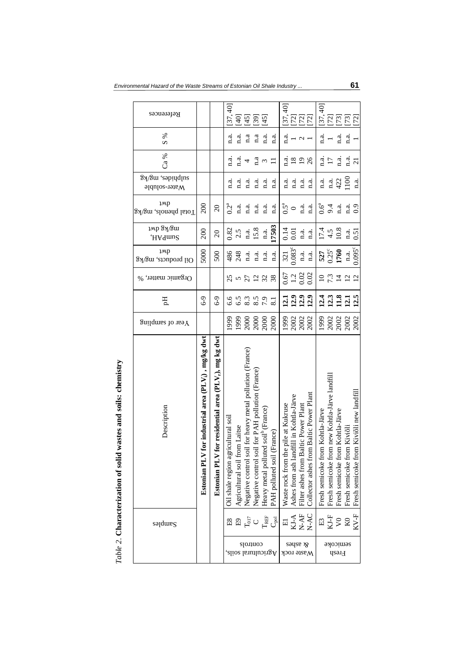| References                             |                                                           |                                                                            | [37, 40]                           | $[40]$                            |                                                          | $\frac{5}{2}$                                    | $[45]$                                              |                               |                                         | ន្<br>[27]<br>[27]<br>[27]                    |                                         |                                         |                                  |                                                    |                                       |                                  | ទុ<br>ភូមិ<br>២២២២                            |
|----------------------------------------|-----------------------------------------------------------|----------------------------------------------------------------------------|------------------------------------|-----------------------------------|----------------------------------------------------------|--------------------------------------------------|-----------------------------------------------------|-------------------------------|-----------------------------------------|-----------------------------------------------|-----------------------------------------|-----------------------------------------|----------------------------------|----------------------------------------------------|---------------------------------------|----------------------------------|-----------------------------------------------|
| ℅<br>S                                 |                                                           |                                                                            | n.a.                               | n.a.                              | $a$ .a                                                   | a                                                | n.a.                                                | n.a.                          | a.<br>E                                 |                                               |                                         |                                         | a.<br>¤                          |                                                    | n.a.                                  | $\mathbf{a}$ .                   |                                               |
| Ca %                                   |                                                           |                                                                            | n.a.                               | $\ddot{a}$ .                      |                                                          | $a_{\rm i}$                                      | $\epsilon$                                          |                               | a.<br>¤                                 | $\overline{18}$                               | $\overline{1}$                          | 26                                      | d.<br>¤                          | $\overline{17}$                                    | n.a.                                  | a.<br>E                          | $\overline{\Omega}$                           |
| anjbµides, mg/kg<br>$M$ ater-soluble   |                                                           |                                                                            | a.                                 | यं<br>प                           | $\frac{a}{n}$                                            | $\frac{a}{n}$                                    | n.a.                                                | n.a.                          | a.                                      | a.                                            | $\vec{n}$ .                             | $a_i$                                   | $\mathbf{a}$                     | n.a.                                               | 422                                   | $\frac{8}{100}$                  | n.a.                                          |
| 1MP<br>Total phenols, mg/kg            | 200                                                       | $\overline{c}$                                                             | $0.2^a$                            | n.a.                              | n.a.                                                     | n.a.                                             | a.                                                  | n.a.                          | $0.5^a$                                 | $\circ$                                       | n.a.                                    | a.                                      | $0.6^a$                          | 9.4                                                | n.a.                                  | n.a.                             | 0.9                                           |
| имр Зү/Зш<br>,HA9mu2                   | 200                                                       | $\overline{20}$                                                            | 0.82                               | 2.5                               | 1.3.                                                     | 15.8                                             | a.                                                  | 17503                         | 0.14                                    | 0.01                                          | 1.3.                                    | a.                                      |                                  |                                                    | $17.4$<br>4.5<br>10.8                 | n.a.                             | $\overline{5}$                                |
| 1 <sub>Mp</sub><br>Oil products, mg/kg | 5000                                                      | 500                                                                        | 486                                | 248                               | n.a.                                                     | d.<br>E                                          | n.a.                                                | n.a.                          | 321                                     | $0.083^{c}$                                   | n.a.                                    | n.a.                                    | 527                              | $0.25^{\circ}$                                     | 1760                                  | a.                               | $0.095^{\circ}$                               |
| Orgamic matter, %                      |                                                           |                                                                            | 25                                 |                                   |                                                          | 522                                              |                                                     | 38                            |                                         | 67<br>12<br>0.02<br>0.0                       |                                         |                                         | $\Omega$                         | $7.\overline{3}$                                   |                                       | $\overline{12}$                  | $\overline{2}$                                |
| E                                      | $6 - 9$                                                   | $6 - 9$                                                                    | 6.6                                | 6.5                               | 8.3                                                      | 8.5                                              | 7.9                                                 | $\overline{8.1}$              |                                         | 11333                                         |                                         |                                         |                                  |                                                    | $\frac{4}{11}$ $\frac{3}{11}$         | 12.1                             | 12.5                                          |
| $\mathop{\rm S}\nolimits$ of sampling  |                                                           |                                                                            | 1999                               | 1999                              | 2000                                                     |                                                  | $\frac{2000}{2000}$                                 |                               | 1999                                    |                                               | 2002<br>2002<br>2002                    |                                         | 1999                             |                                                    | 2002<br>2002                          | 2002                             | 2002                                          |
| Description                            | for industrial area $(PLV_i)$ , mg/kg dwt<br>Estonian PLN | for residential area (PLV <sub>r</sub> ), mg kg dwt<br><b>Estonian PLV</b> | Oil shale region agricultural soil | om Laitse<br>Agricultural soil fr | Negative control soil for heavy metal pollution (France) | Negative control soil for PAH pollution (France) | ted soil <sup>b</sup> (France)<br>Heavy metal pollu | (France)<br>PAH polluted soil | he pile at Kukruse<br>Waste rock from t | ndfill in Kohtla-Järve<br>Ashes from ash lare | Baltic Power Plant<br>Filter ashes from | Collector ashes from Baltic Power Plant | Fresh semicoke from Kohtla-Järve | om new Kohtla-Järve landfill<br>Fresh semicoke fro | om Kohtla-Järve<br>Fresh semicoke fro | om Kiviõli<br>Fresh semicoke fro | om Kiviõli new landfill<br>Fresh semicoke fro |
| SalqmaR                                |                                                           |                                                                            |                                    |                                   |                                                          | ិ ក្នុង<br>ក្នុង                                 | $\rm T_{REF}$                                       | اقی                           | $\Xi$                                   |                                               |                                         | KJ-A<br>N-AF<br>N-AC                    | E3                               | $\mathbf{K}\mathbf{J}\text{-}\mathbf{F}$           | $\sqrt{2}$                            | $_{\rm K0}$                      | $KV-F$                                        |
|                                        |                                                           |                                                                            |                                    |                                   |                                                          | controls                                         |                                                     | Agricultural soils,           | Waste rock                              | səyse x                                       |                                         |                                         |                                  |                                                    | semicoke<br>Fresh                     |                                  |                                               |

 $Table~2.$  Characterization of solid wastes and soils: chemistry *Table 2*. **Characterization of solid wastes and soils: chemistry**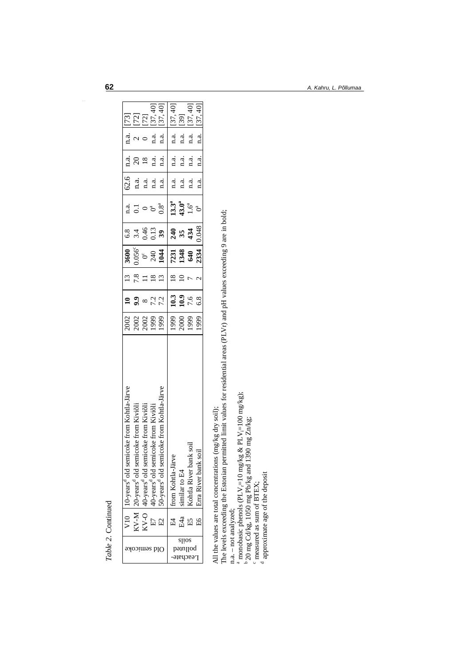| ١<br>ŗ<br>í |  |
|-------------|--|
| I           |  |
| ì           |  |

| V10   10-years <sup>9</sup> old semicoke from Kohtla-Järve | 2002                                                                                               | $\mathbf{a}$                               | 13   | 3600          | 6.8                 |                              | 62.6                                             | n.a.     | n.a.         |            |
|------------------------------------------------------------|----------------------------------------------------------------------------------------------------|--------------------------------------------|------|---------------|---------------------|------------------------------|--------------------------------------------------|----------|--------------|------------|
| oke from Kiviõli                                           |                                                                                                    | 9.9                                        | 7.8  | $0.056^\circ$ |                     | $a$ .<br>0.1                 | n.a.                                             | $\Omega$ |              | <b>EEE</b> |
|                                                            |                                                                                                    |                                            |      |               |                     |                              | n.a.                                             |          |              |            |
|                                                            |                                                                                                    | 7.2                                        |      |               |                     |                              |                                                  |          | n.a.         | [37, 40]   |
|                                                            |                                                                                                    | 7.2                                        |      |               | 39                  |                              | n.a.                                             | n.a.     | n.a.         | [37, 40]   |
|                                                            | 1999                                                                                               | 10.3                                       |      |               | 240                 |                              | n.a.                                             | n.a.     | n.a.         | [37, 40]   |
|                                                            |                                                                                                    |                                            |      |               |                     |                              | n.a.                                             |          | n.a.         | $[39]$     |
|                                                            | 1999                                                                                               | 7.6                                        |      | 640           |                     |                              | 1.a.                                             | n.a.     | n.a.         | [37, 40]   |
|                                                            | 999                                                                                                | 6.8                                        |      | 2334          | 0.048               |                              | n.a.                                             | n.a.     | a. a.        | [37, 40]   |
|                                                            | oke from Kohtla-Järve<br>KV-O  40-years <sup>d</sup> old semicoke from Kiviõli<br>oke from Kiviõli | 2002<br>2002<br>1999<br><b>666</b><br>2000 | 10.9 |               | 844<br>7231<br>1348 | $3.4$<br>0.46<br>0.13<br>354 | $13.3^a$<br>$43.0^a$<br>$1.6^a$<br>$0.8^{\rm a}$ | 1.2.     | n.a.<br>n.a. |            |

All the values are total concentrations (mg/kg dry soil);

All the values are total concentrations (mg/kg dry soil);<br>The levels exceeding the Estonian permitted limit values for residential areas (PLVr) and pH values exceeding 9 are in bold;<br>n.a. – not analyzed; The levels exceeding the Estonian permitted limit values for residential areas (PLVr) and pH values exceeding 9 are in bold;

n.a. – not analyzed;

<sup>a</sup> monobasic phenols (PLV<sub>i</sub>=10 mg/kg & PLV<sub>i</sub>=100 mg/kg); i

 $b$  20 mg Cd/kg, 1050 mg Pb/kg and 1390 mg Zn/kg;

c measured as sum of BTEX;

d approximate age of the deposit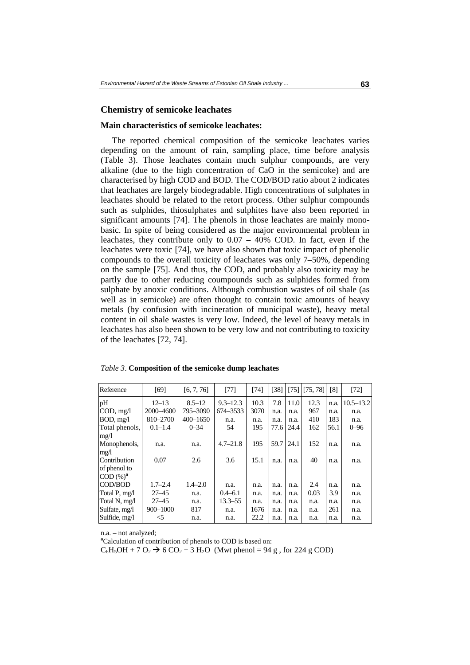#### **Chemistry of semicoke leachates**

#### **Main characteristics of semicoke leachates:**

The reported chemical composition of the semicoke leachates varies depending on the amount of rain, sampling place, time before analysis (Table 3). Those leachates contain much sulphur compounds, are very alkaline (due to the high concentration of CaO in the semicoke) and are characterised by high COD and BOD. The COD/BOD ratio about 2 indicates that leachates are largely biodegradable. High concentrations of sulphates in leachates should be related to the retort process. Other sulphur compounds such as sulphides, thiosulphates and sulphites have also been reported in significant amounts [74]. The phenols in those leachates are mainly monobasic. In spite of being considered as the major environmental problem in leachates, they contribute only to 0.07 – 40% COD. In fact, even if the leachates were toxic [74], we have also shown that toxic impact of phenolic compounds to the overall toxicity of leachates was only 7–50%, depending on the sample [75]. And thus, the COD, and probably also toxicity may be partly due to other reducing coumpounds such as sulphides formed from sulphate by anoxic conditions. Although combustion wastes of oil shale (as well as in semicoke) are often thought to contain toxic amounts of heavy metals (by confusion with incineration of municipal waste), heavy metal content in oil shale wastes is very low. Indeed, the level of heavy metals in leachates has also been shown to be very low and not contributing to toxicity of the leachates [72, 74].

| Reference            | [69]        | [6, 7, 76]   | [77]         | [74] | $\lceil 38 \rceil$ | $[75]$ | [75, 78] | [8]  | $[72]$        |
|----------------------|-------------|--------------|--------------|------|--------------------|--------|----------|------|---------------|
| pH                   | $12 - 13$   | $8.5 - 12$   | $9.3 - 12.3$ | 10.3 | 7.8                | 11.0   | 12.3     | n.a. | $10.5 - 13.2$ |
| COD, mg/l            | 2000-4600   | 795-3090     | 674–3533     | 3070 | n.a.               | n.a.   | 967      | n.a. | n.a.          |
| BOD, mg/l            | 810-2700    | $400 - 1650$ | n.a.         | n.a. | n.a.               | n.a.   | 410      | 183  | n.a.          |
| Total phenols,       | $0.1 - 1.4$ | $0 - 34$     | 54           | 195  | 77.6               | 24.4   | 162      | 56.1 | $0 - 96$      |
| mg/1                 |             |              |              |      |                    |        |          |      |               |
| Monophenols,         | n.a.        | n.a.         | $4.7 - 21.8$ | 195  | 59.7               | 24.1   | 152      | n.a. | n.a.          |
| mg/1                 |             |              |              |      |                    |        |          |      |               |
| Contribution         | 0.07        | 2.6          | 3.6          | 15.1 | n.a.               | n.a.   | 40       | n.a. | n.a.          |
| of phenol to         |             |              |              |      |                    |        |          |      |               |
| COD (%) <sup>a</sup> |             |              |              |      |                    |        |          |      |               |
| COD/BOD              | $1.7 - 2.4$ | $1.4 - 2.0$  | n.a.         | n.a. | n.a.               | n.a.   | 2.4      | n.a. | n.a.          |
| Total P, mg/l        | $27 - 45$   | n.a.         | $0.4 - 6.1$  | n.a. | n.a.               | n.a.   | 0.03     | 3.9  | n.a.          |
| Total N, mg/l        | $27 - 45$   | n.a.         | $13.3 - 55$  | n.a. | n.a.               | n.a.   | n.a.     | n.a. | n.a.          |
| Sulfate, mg/l        | 900-1000    | 817          | n.a.         | 1676 | n.a.               | n.a.   | n.a.     | 261  | n.a.          |
| Sulfide, mg/l        | $<$ 5       | n.a.         | n.a.         | 22.2 | n.a.               | n.a.   | n.a.     | n.a. | n.a.          |

n.a. – not analyzed;

**a** Calculation of contribution of phenols to COD is based on:

 $C_6H_5OH + 7 O_2 \rightarrow 6 CO_2 + 3 H_2O$  (Mwt phenol = 94 g, for 224 g COD)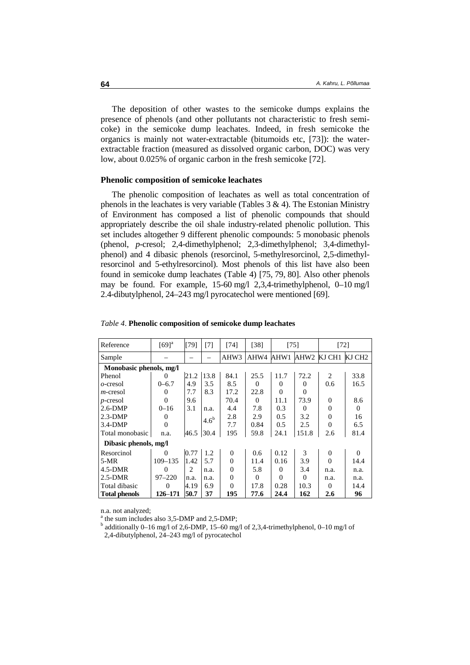The deposition of other wastes to the semicoke dumps explains the presence of phenols (and other pollutants not characteristic to fresh semicoke) in the semicoke dump leachates. Indeed, in fresh semicoke the organics is mainly not water-extractable (bitumoids etc, [73]): the waterextractable fraction (measured as dissolved organic carbon, DOC) was very low, about 0.025% of organic carbon in the fresh semicoke [72].

#### **Phenolic composition of semicoke leachates**

The phenolic composition of leachates as well as total concentration of phenols in the leachates is very variable (Tables  $3 \& 4$ ). The Estonian Ministry of Environment has composed a list of phenolic compounds that should appropriately describe the oil shale industry-related phenolic pollution. This set includes altogether 9 different phenolic compounds: 5 monobasic phenols (phenol, *p*-cresol; 2,4-dimethylphenol; 2,3-dimethylphenol; 3,4-dimethylphenol) and 4 dibasic phenols (resorcinol, 5-methylresorcinol, 2,5-dimethylresorcinol and 5-ethylresorcinol). Most phenols of this list have also been found in semicoke dump leachates (Table 4) [75, 79, 80]. Also other phenols may be found. For example, 15-60 mg/l 2,3,4-trimethylphenol, 0–10 mg/l 2.4-dibutylphenol, 24–243 mg/l pyrocatechol were mentioned [69].

| Reference               | $[69]$ <sup>a</sup> | [79]           | [7]           | [74]     | [38]     | $[75]$   |          | $[72]$   |          |
|-------------------------|---------------------|----------------|---------------|----------|----------|----------|----------|----------|----------|
| Sample                  |                     |                |               | AHW3     | AHW4     | AHW1     | AHW2     | KJ CH1   | KJ CH2   |
| Monobasic phenols, mg/l |                     |                |               |          |          |          |          |          |          |
| Phenol                  | $\theta$            | 21.2           | 13.8          | 84.1     | 25.5     | 11.7     | 72.2     | 2        | 33.8     |
| $o$ -cresol             | $0 - 6.7$           | 4.9            | 3.5           | 8.5      | $\Omega$ | $\Omega$ | $\Omega$ | 0.6      | 16.5     |
| $m$ -cresol             | 0                   | 7.7            | 8.3           | 17.2     | 22.8     | $\theta$ | $\Omega$ |          |          |
| $p$ -cresol             | $\Omega$            | 9.6            |               | 70.4     | $\Omega$ | 11.1     | 73.9     | $\Omega$ | 8.6      |
| $2.6-DMP$               | $0 - 16$            | 3.1            | n.a.          | 4.4      | 7.8      | 0.3      | $\Omega$ | $\Omega$ | $\Omega$ |
| $2.3-DMP$               | 0                   |                | $4.6^{\rm b}$ | 2.8      | 2.9      | 0.5      | 3.2      | $\Omega$ | 16       |
| $3.4-DMP$               | $\Omega$            |                |               | 7.7      | 0.84     | 0.5      | 2.5      | $\Omega$ | 6.5      |
| Total monobasic         | n.a.                | 46.5           | 30.4          | 195      | 59.8     | 24.1     | 151.8    | 2.6      | 81.4     |
| Dibasic phenols, mg/l   |                     |                |               |          |          |          |          |          |          |
| Resorcinol              | $\Omega$            | 0.77           | 1.2           | $\Omega$ | 0.6      | 0.12     | 3        | $\Omega$ | $\Omega$ |
| $5-MR$                  | $109 - 135$         | 1.42           | 5.7           | $\theta$ | 11.4     | 0.16     | 3.9      | $\Omega$ | 14.4     |
| $4.5-DMR$               | $\Omega$            | $\mathfrak{D}$ | n.a.          | $\Omega$ | 5.8      | $\Omega$ | 3.4      | n.a.     | n.a.     |
| $2.5-DMR$               | $97 - 220$          | n.a.           | n.a.          | $\Omega$ | $\Omega$ | $\Omega$ | $\Omega$ | n.a.     | n.a.     |
| Total dibasic           | $\Omega$            | 4.19           | 6.9           | $\Omega$ | 17.8     | 0.28     | 10.3     | $\Omega$ | 14.4     |
| <b>Total phenols</b>    | 126-171             | 50.7           | 37            | 195      | 77.6     | 24.4     | 162      | 2.6      | 96       |

#### *Table 4*. **Phenolic composition of semicoke dump leachates**

n.a. not analyzed;

<sup>a</sup> the sum includes also 3,5-DMP and 2,5-DMP;

<sup>b</sup> additionally 0–16 mg/l of 2,6-DMP, 15–60 mg/l of 2,3,4-trimethylphenol, 0–10 mg/l of 2,4-dibutylphenol, 24–243 mg/l of pyrocatechol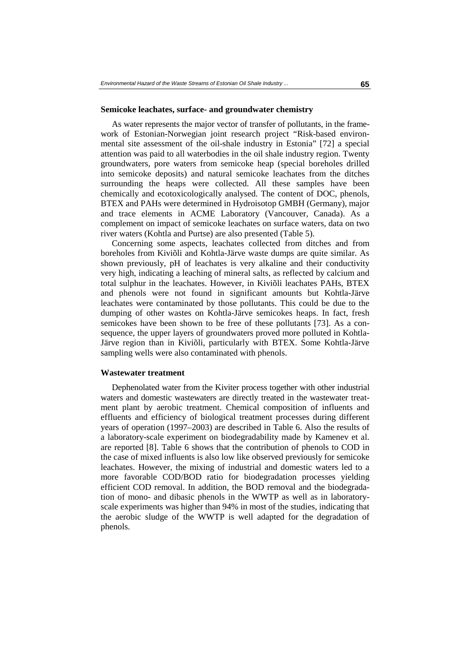#### **Semicoke leachates, surface- and groundwater chemistry**

As water represents the major vector of transfer of pollutants, in the framework of Estonian-Norwegian joint research project "Risk-based environmental site assessment of the oil-shale industry in Estonia" [72] a special attention was paid to all waterbodies in the oil shale industry region. Twenty groundwaters, pore waters from semicoke heap (special boreholes drilled into semicoke deposits) and natural semicoke leachates from the ditches surrounding the heaps were collected. All these samples have been chemically and ecotoxicologically analysed. The content of DOC, phenols, BTEX and PAHs were determined in Hydroisotop GMBH (Germany), major and trace elements in ACME Laboratory (Vancouver, Canada). As a complement on impact of semicoke leachates on surface waters, data on two river waters (Kohtla and Purtse) are also presented (Table 5).

Concerning some aspects, leachates collected from ditches and from boreholes from Kiviõli and Kohtla-Järve waste dumps are quite similar. As shown previously, pH of leachates is very alkaline and their conductivity very high, indicating a leaching of mineral salts, as reflected by calcium and total sulphur in the leachates. However, in Kiviõli leachates PAHs, BTEX and phenols were not found in significant amounts but Kohtla-Järve leachates were contaminated by those pollutants. This could be due to the dumping of other wastes on Kohtla-Järve semicokes heaps. In fact, fresh semicokes have been shown to be free of these pollutants [73]. As a consequence, the upper layers of groundwaters proved more polluted in Kohtla-Järve region than in Kiviõli, particularly with BTEX. Some Kohtla-Järve sampling wells were also contaminated with phenols.

#### **Wastewater treatment**

Dephenolated water from the Kiviter process together with other industrial waters and domestic wastewaters are directly treated in the wastewater treatment plant by aerobic treatment. Chemical composition of influents and effluents and efficiency of biological treatment processes during different years of operation (1997–2003) are described in Table 6. Also the results of a laboratory-scale experiment on biodegradability made by Kamenev et al. are reported [8]. Table 6 shows that the contribution of phenols to COD in the case of mixed influents is also low like observed previously for semicoke leachates. However, the mixing of industrial and domestic waters led to a more favorable COD/BOD ratio for biodegradation processes yielding efficient COD removal. In addition, the BOD removal and the biodegradation of mono- and dibasic phenols in the WWTP as well as in laboratoryscale experiments was higher than 94% in most of the studies, indicating that the aerobic sludge of the WWTP is well adapted for the degradation of phenols.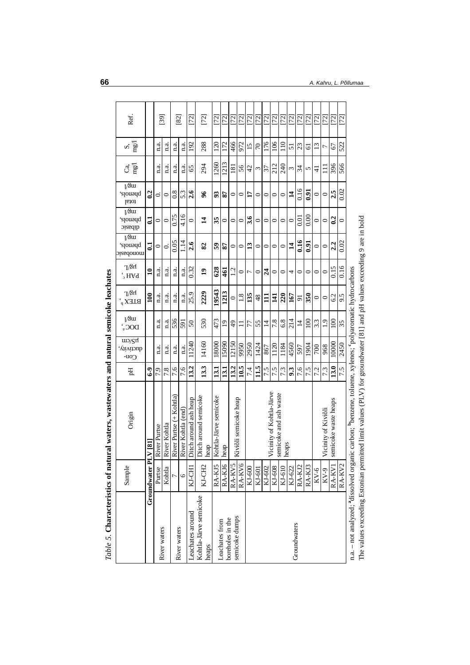|                                                         | Sample             | Origin                                                                                 | Еq              | uv/ST<br>ductivity,<br>C <sub>0</sub> | $V^{\text{S}}$ tu<br>DOC <sub>s</sub> | T/3n<br>$BLEX_p$ | T/3n<br>$`$ <sub>2</sub> H $\forall$ d | $\sqrt{3}$ ul<br>slons,<br>monopasic | $V^3$<br>slonong,<br>dibasic | $V^3$<br>'s <sub>ou</sub> ad<br>total | ng/<br>්         | mg/<br>S        | Ref.      |
|---------------------------------------------------------|--------------------|----------------------------------------------------------------------------------------|-----------------|---------------------------------------|---------------------------------------|------------------|----------------------------------------|--------------------------------------|------------------------------|---------------------------------------|------------------|-----------------|-----------|
|                                                         | Groundwater PLV    | $\overline{18}$                                                                        | $6-9$           |                                       |                                       | $\mathbf{100}$   | $\mathbf{a}$                           | $\mathbf{S}$                         | ಡ                            | $\overline{0}$                        |                  |                 |           |
|                                                         | Purtse             | ver Purtse<br>Ż                                                                        | 7.9             | n.a.                                  | n.a.                                  | n.a.             | n.a.                                   | $\circ$                              | $\circ$                      | 0.                                    | n.a.             | n.a.            | $^{[39]}$ |
| River waters                                            | Kohtla             | ver Kohtla<br>Ż                                                                        | 7.8             | n.a.                                  | n.a.                                  | n.a.             | n.a.                                   | ö                                    | $\circ$                      | 0                                     | n.a.             | n.a.            |           |
| River waters                                            |                    | River Purtse (+ Kohtla)                                                                | 7.6             | n.a.                                  | 536                                   | n.a.             | n.a.                                   | 0.05                                 | 0.75                         | $\frac{8}{3}$                         | n.a.             | n.a.            | [82]      |
|                                                         | $\circ$            | ver Kohtla (end)<br>ż                                                                  | 7.6             | n.a.                                  | 591                                   | n.a.             | n.a.                                   | 1.14                                 | 4.16                         | 5.3                                   | n.a.             | n.a.            |           |
| Leachates around                                        | KJ-CHI             | itch around ash heap<br>Ä                                                              | 13.2            | 1240                                  | $50\,$                                | 25.9             | 0.32                                   | 2.6                                  | $\circ$                      | 2.6                                   | 65               | 192             | $[72]$    |
| Kohtla-Järve semicoke<br>heaps                          | KJ-CH <sub>2</sub> | Ditch around semicoke<br>I heap                                                        | 13.3            | 14160                                 | 530                                   | 2229             | $\overline{1}$                         | 82                                   | $\vec{a}$                    | 96                                    | 294              | 288             | $[72]$    |
|                                                         | RA-KJ5             | Kohtla-Järve semicoke                                                                  | 13.1            | 18000                                 | 473                                   | 19543            | 628                                    | 59                                   | 35                           | 93                                    | 1260             | 120             | [72]      |
| Leachates from                                          | RA-KJ6             | $\sf{heap}$                                                                            | 13.1            | 15090                                 | $\overline{1}$                        | 1213             | $\overline{461}$                       | 58                                   | $\circ$                      | 28                                    | 1213             | 172             | [72]      |
| semicoke dumps<br>boreholes in the                      | RA-KV5             | Σ                                                                                      | 13.2            | 12150                                 | $\frac{4}{9}$                         | $\circ$          | 12                                     | $\circ$                              | $\circ$                      | 0                                     | $\overline{181}$ | 466             | [2]       |
|                                                         | RA-KV6             | viõli semicoke heap                                                                    | 10.5            | 9950                                  | Ξ                                     | 1.8              | $\circ$                                | $\circ$                              | $\circ$                      | $\circ$                               | 56               | 972             | [72]      |
|                                                         | KJ-600             |                                                                                        | 7.4             | 2950                                  | 77                                    | 135              | Γ                                      | 13                                   | 3.6                          | $\mathbf{L}$                          | 42               | 15              | [72]      |
|                                                         | KJ-601             |                                                                                        | $\frac{15}{11}$ | 1424                                  | 55                                    | 48               | 0                                      | 0                                    | $\circ$                      | 0                                     | ξ                | $\mathcal{L}$   | [72]      |
|                                                         | KJ-602             |                                                                                        | 7.5             | 867                                   | $\vec{4}$                             | $\Xi$            | $\overline{24}$                        | $\circ$                              | 0                            | 0                                     | 37               | 176             | [72]      |
|                                                         | KJ-608             | Vicinity of Kohtla-Järve<br>semicoke and ash waste                                     | 7.5             | 1120                                  | 7.8                                   | $\mathbf{H}$     | $\circ$                                | 0                                    | 0                            | 0                                     | 212              | 106             | [72]      |
|                                                         | $KJ-610$           | lheaps                                                                                 | 7.3             | 1184                                  | 6.8                                   | 220              | 0                                      | $\circ$                              | $\circ$                      | 0                                     | 240              | $\frac{10}{2}$  | $[72]$    |
| Groundwaters                                            | KJ-622             |                                                                                        | 9.3             | 4560                                  | 214                                   | 167              | 4                                      | $\overline{1}$                       | 0                            | $\mathbf{1}$                          | ω                | 5               | [72]      |
|                                                         | RA-KJ2             |                                                                                        | 7.6             | 597                                   | $\overline{4}$                        | $\overline{9}$   | 0                                      | 0.16                                 | $\rm 0.01$                   | 0.16                                  | 34               | 23              | [72]      |
|                                                         | RA-KJ3             |                                                                                        | 7.5             | 1904                                  | 100                                   | 350              | 0                                      | 0.91                                 | 0.00                         | $\overline{6.0}$                      | 5                | 61              | $[72]$    |
|                                                         | $KV-6$             |                                                                                        | 7.2             | 700                                   | 3.3                                   | $\circ$          | 0                                      | $\circ$                              | 0                            | 0                                     | ╤                | $\overline{13}$ | [72]      |
|                                                         | $\text{EV-9}$      | Vicinity of Kiviol                                                                     | 7.3             | 968                                   | $\frac{1}{2}$                         | $\circ$          | 0                                      | $\circ$                              | $\circ$                      | $\circ$                               |                  | Γ               | [72]      |
|                                                         | RA-KVI             | semicoke waste heaps                                                                   | 13.0            | 10000                                 | 100                                   | 6.2              | 0.15                                   | 2.2                                  | 0.2                          | 2.5                                   | 396              | 67              | [72]      |
|                                                         | RA-KV2             |                                                                                        | 7.5             | 2450                                  | 35                                    | 9.5              | 0.16                                   | 0.02                                 | $\circ$                      | 0.02                                  | 566              | 522             | $[72]$    |
| $n a$ – $n d$ analyzed <sup>. a</sup> dissolved organic |                    | carbon: <sup>b</sup> henzene, toluene, xvlenes: <sup>c</sup> nolvaromatic hydrocarbons |                 |                                       |                                       |                  |                                        |                                      |                              |                                       |                  |                 |           |

Table 5. Characteristics of natural waters, wastewaters and natural semicoke leachates *Table 5*. **Characteristics of natural waters, wastewaters and natural semicoke leachates**

n.a. – not analyzed; "dissolved organic carbon; "benzene, toluene, xylenes; "polyaromatic hydrocarbons<br>The values exceeding Estonian permitted limit values (PLV) for groundwater [81] and pH values exceeding 9 are in bold n.a. – not analyzed; **a**dissolved organic carbon; **b**benzene, toluene, xylenes; **c**polyaromatic hydrocarbons

The values exceeding Estonian permitted limit values (PLV) for groundwater [81] and pH values exceeding 9 are in bold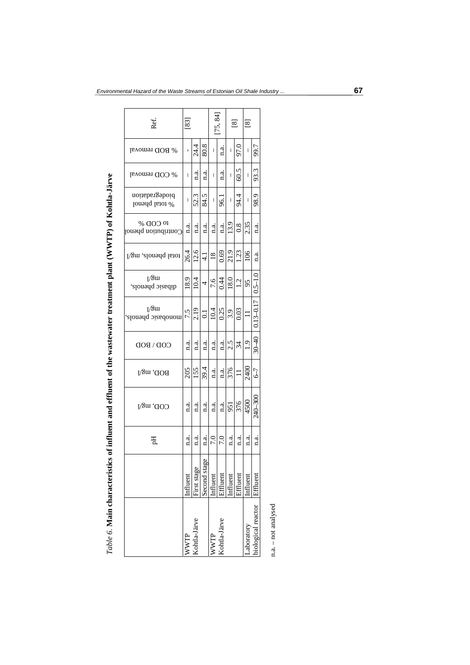| j<br>֖֖֖ׅׅׅׅ֖֧֧ׅ֖֧֧֚֚֚֚֚֚֚֚֚֚֚֚֚֚֚֚֚֚֚֚֚֚֚֚֚֚֚֚֚֚֡֝֝֝֬֓֞֝֓֞֝֬֓֝֓֞֝֬ |
|---------------------------------------------------------------------|
|                                                                     |
|                                                                     |
|                                                                     |
|                                                                     |
|                                                                     |
| l                                                                   |
| $\overline{\phantom{a}}$                                            |
|                                                                     |
|                                                                     |
|                                                                     |
|                                                                     |
| l                                                                   |
| $\overline{a}$<br>$\overline{1}$                                    |
|                                                                     |
| Ε<br>ŀ                                                              |

| Ref                              | [83]           |              |                    |             | [75, 84]     |                  | $^{[8]}$      | $^{[8]}$                                                                                                                                                                                                                                                                                                                                                                                                       |                         |
|----------------------------------|----------------|--------------|--------------------|-------------|--------------|------------------|---------------|----------------------------------------------------------------------------------------------------------------------------------------------------------------------------------------------------------------------------------------------------------------------------------------------------------------------------------------------------------------------------------------------------------------|-------------------------|
| <sup>66</sup> BOD removal        | ı              | 24.4         | 80.8               | I           | n.a.         | I                | ) L6          | $\begin{array}{c} \end{array}$                                                                                                                                                                                                                                                                                                                                                                                 | 99.7                    |
| % COD removal                    | I              | a.<br>¤      | a.<br>¤            | I           | n.a.         | I                | 60.5          | $\begin{array}{c} \rule{0pt}{2ex} \rule{0pt}{2ex} \rule{0pt}{2ex} \rule{0pt}{2ex} \rule{0pt}{2ex} \rule{0pt}{2ex} \rule{0pt}{2ex} \rule{0pt}{2ex} \rule{0pt}{2ex} \rule{0pt}{2ex} \rule{0pt}{2ex} \rule{0pt}{2ex} \rule{0pt}{2ex} \rule{0pt}{2ex} \rule{0pt}{2ex} \rule{0pt}{2ex} \rule{0pt}{2ex} \rule{0pt}{2ex} \rule{0pt}{2ex} \rule{0pt}{2ex} \rule{0pt}{2ex} \rule{0pt}{2ex} \rule{0pt}{2ex} \rule{0pt}{$ | 93.3                    |
| biodegradation<br>% total phenol | I              | 52.3         | 84.5               | I           | 96.          | $\vert$          | 94.4          | I                                                                                                                                                                                                                                                                                                                                                                                                              | 98.9                    |
| % COD %<br>Contribution phenol   | $\frac{a}{n}$  | a.<br>¤      | n.a.               | $\ddot{a}.$ | 1.a.         | 13.9             | 0.8           | 2.35                                                                                                                                                                                                                                                                                                                                                                                                           | $\mathbf{a}$            |
| total phenols, mg/l              | 26.4           | 12.6         | $\frac{1}{4}$      | 18          | 0.69         | 21.9             | 1.23          | 106                                                                                                                                                                                                                                                                                                                                                                                                            | $\frac{a}{1}$           |
| [∕ãtu<br>dibasic phenols,        | 18.9           | 10.4         | 4                  | 7.6         | 0.44         | $\frac{18.0}{ }$ | 1.2           | 95                                                                                                                                                                                                                                                                                                                                                                                                             | $0.5 - 1.0$             |
| [∕ãw<br>monopasic phenols,       | 7.5            | 2.19         | $\overline{\circ}$ | 10.4        | 0.25         | $\overline{3.9}$ | 0.03          |                                                                                                                                                                                                                                                                                                                                                                                                                | 0.13-0.17               |
| $COD \setminus BOD$              | $\mathbf{a}$ . | 1.a.         | n.a.               | n.a.        |              |                  | $rac{a}{2.5}$ | 1.9                                                                                                                                                                                                                                                                                                                                                                                                            | $30 - 40$               |
| <b>ROD, mg/l</b>                 | 205            | 155          | 39.4               | n.a.        | n.a.         | 376              | $\equiv$      | 240C                                                                                                                                                                                                                                                                                                                                                                                                           | $-2$                    |
| $\text{COD}, \text{mg}/\text{l}$ | n.a.           | a.           | n.a.               | n.a.        | n.a.         | 951              | 376           | 4500                                                                                                                                                                                                                                                                                                                                                                                                           | 240-300                 |
| 핌                                | d.<br>E        | n.a.         | n.a.               | 7.0         | 7.0          | n.a.             | a.            | $\mathbf{a}$ .                                                                                                                                                                                                                                                                                                                                                                                                 | $\mathbf{n}.\mathbf{a}$ |
|                                  | influent       | First stage  | Second stage       | Influent    | Effluent     | nfluent          | Effluent      | influent                                                                                                                                                                                                                                                                                                                                                                                                       | Effluent                |
|                                  | <b>NWTP</b>    | Kohtla-Järve |                    | WWTP        | Kohtla-Järve |                  |               | aboratory                                                                                                                                                                                                                                                                                                                                                                                                      | biological reactor      |

 $n.a. - not analysed$ n.a. – not analysed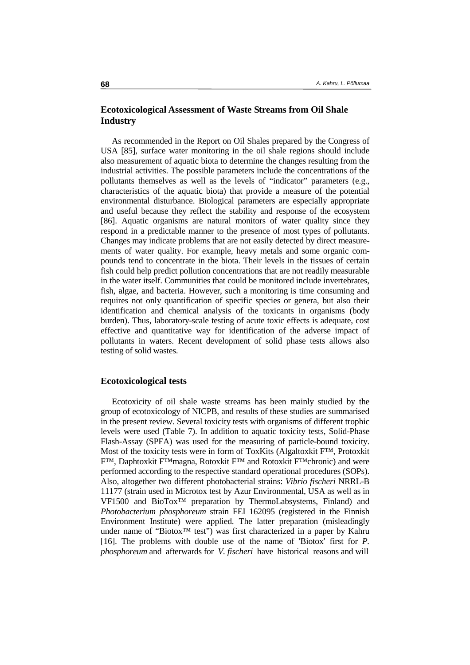### **Ecotoxicological Assessment of Waste Streams from Oil Shale Industry**

As recommended in the Report on Oil Shales prepared by the Congress of USA [85], surface water monitoring in the oil shale regions should include also measurement of aquatic biota to determine the changes resulting from the industrial activities. The possible parameters include the concentrations of the pollutants themselves as well as the levels of "indicator" parameters (e.g., characteristics of the aquatic biota) that provide a measure of the potential environmental disturbance. Biological parameters are especially appropriate and useful because they reflect the stability and response of the ecosystem [86]. Aquatic organisms are natural monitors of water quality since they respond in a predictable manner to the presence of most types of pollutants. Changes may indicate problems that are not easily detected by direct measurements of water quality. For example, heavy metals and some organic compounds tend to concentrate in the biota. Their levels in the tissues of certain fish could help predict pollution concentrations that are not readily measurable in the water itself. Communities that could be monitored include invertebrates, fish, algae, and bacteria. However, such a monitoring is time consuming and requires not only quantification of specific species or genera, but also their identification and chemical analysis of the toxicants in organisms (body burden). Thus, laboratory-scale testing of acute toxic effects is adequate, cost effective and quantitative way for identification of the adverse impact of pollutants in waters. Recent development of solid phase tests allows also testing of solid wastes.

#### **Ecotoxicological tests**

Ecotoxicity of oil shale waste streams has been mainly studied by the group of ecotoxicology of NICPB, and results of these studies are summarised in the present review. Several toxicity tests with organisms of different trophic levels were used (Table 7). In addition to aquatic toxicity tests, Solid-Phase Flash-Assay (SPFA) was used for the measuring of particle-bound toxicity. Most of the toxicity tests were in form of ToxKits (Algaltoxkit F™, Protoxkit F™, Daphtoxkit F™magna, Rotoxkit F™ and Rotoxkit F™chronic) and were performed according to the respective standard operational procedures (SOPs). Also, altogether two different photobacterial strains: *Vibrio fischeri* NRRL-B 11177 (strain used in Microtox test by Azur Environmental, USA as well as in VF1500 and BioTox™ preparation by ThermoLabsystems, Finland) and *Photobacterium phosphoreum* strain FEI 162095 (registered in the Finnish Environment Institute) were applied. The latter preparation (misleadingly under name of "Biotox™ test") was first characterized in a paper by Kahru [16]. The problems with double use of the name of ′Biotox′ first for *P. phosphoreum* and afterwards for *V. fischeri* have historical reasons and will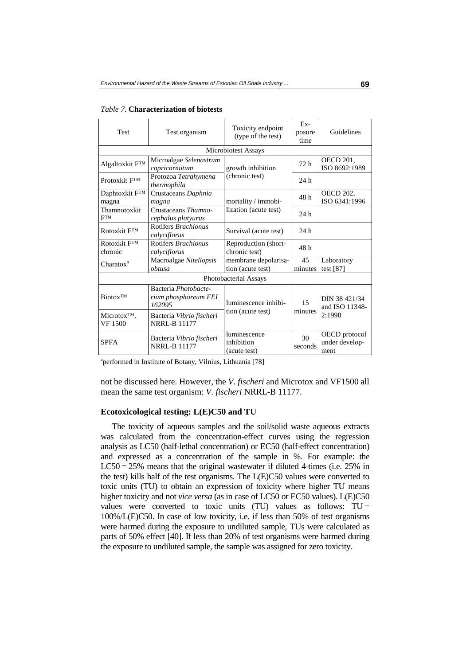| <b>Test</b>                                | Test organism                                          | Toxicity endpoint<br>(type of the test)    | $Ex-$<br>posure<br>time | Guidelines                              |  |  |
|--------------------------------------------|--------------------------------------------------------|--------------------------------------------|-------------------------|-----------------------------------------|--|--|
|                                            |                                                        | Microbiotest Assays                        |                         |                                         |  |  |
| Algaltoxkit FTM                            | Microalgae Selenastrum<br>capricornutum                | growth inhibition                          | 72h                     | OECD 201,<br>ISO 8692:1989              |  |  |
| Protoxkit F <sup>TM</sup>                  | Protozoa Tetrahymena<br>thermophila                    | (chronic test)                             | 24h                     |                                         |  |  |
| Daphtoxkit F™<br>magna                     | Crustaceans Daphnia<br>magna                           | mortality / immobi-                        | 48 h                    | <b>OECD 202,</b><br>ISO 6341:1996       |  |  |
| Thamnotoxkit<br><b>FTM</b>                 | Crustaceans Thamno-<br>cephalus platyurus              | lization (acute test)                      | 24 <sub>h</sub>         |                                         |  |  |
| Rotoxkit FTM                               | Rotifers <i>Brachionus</i><br>calvciflorus             | Survival (acute test)                      | 24h                     |                                         |  |  |
| Rotoxkit F <sup>TM</sup><br>chronic        | Rotifers Brachionus<br>calyciflorus                    | Reproduction (short-<br>chronic test)      | 48 h                    |                                         |  |  |
| Charatox <sup>a</sup>                      | Macroalgae Nitellopsis<br>obtusa                       | membrane depolarisa-<br>tion (acute test)  | 45<br>minutes           | Laboratory<br>test $[87]$               |  |  |
|                                            |                                                        | Photobacterial Assays                      |                         |                                         |  |  |
| <b>Biotox<sup>TM</sup></b>                 | Bacteria Photobacte-<br>rium phosphoreum FEI<br>162095 | luminescence inhibi-                       | 15                      | DIN 38 421/34<br>and ISO 11348-         |  |  |
| Microtox <sup>TM</sup> ,<br><b>VF</b> 1500 | Bacteria Vibrio fischeri<br><b>NRRL-B 11177</b>        | tion (acute test)                          | minutes                 | 2:1998                                  |  |  |
| <b>SPFA</b>                                | Bacteria Vibrio fischeri<br><b>NRRL-B 11177</b>        | luminescence<br>inhibition<br>(acute test) | 30<br>seconds           | OECD protocol<br>under develop-<br>ment |  |  |

| <i>Table 7.</i> Characterization of biotests |  |  |  |  |  |  |  |
|----------------------------------------------|--|--|--|--|--|--|--|
|----------------------------------------------|--|--|--|--|--|--|--|

<sup>a</sup>performed in Institute of Botany, Vilnius, Lithuania [78]

not be discussed here. However, the *V. fischeri* and Microtox and VF1500 all mean the same test organism: *V. fischeri* NRRL-B 11177.

#### **Ecotoxicological testing: L(E)C50 and TU**

The toxicity of aqueous samples and the soil/solid waste aqueous extracts was calculated from the concentration-effect curves using the regression analysis as LC50 (half-lethal concentration) or EC50 (half-effect concentration) and expressed as a concentration of the sample in %. For example: the  $LC50 = 25%$  means that the original wastewater if diluted 4-times (i.e. 25% in the test) kills half of the test organisms. The L(E)C50 values were converted to toxic units (TU) to obtain an expression of toxicity where higher TU means higher toxicity and not *vice versa* (as in case of LC50 or EC50 values). L(E)C50 values were converted to toxic units (TU) values as follows:  $TU =$ 100%/L(E)C50. In case of low toxicity, i.e. if less than 50% of test organisms were harmed during the exposure to undiluted sample, TUs were calculated as parts of 50% effect [40]. If less than 20% of test organisms were harmed during the exposure to undiluted sample, the sample was assigned for zero toxicity.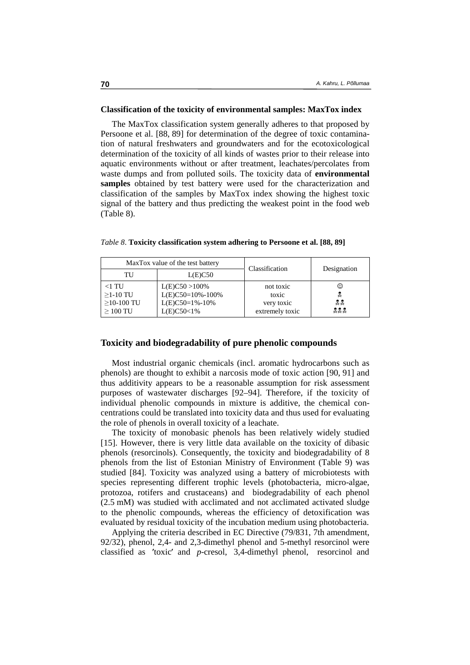#### **Classification of the toxicity of environmental samples: MaxTox index**

The MaxTox classification system generally adheres to that proposed by Persoone et al. [88, 89] for determination of the degree of toxic contamination of natural freshwaters and groundwaters and for the ecotoxicological determination of the toxicity of all kinds of wastes prior to their release into aquatic environments without or after treatment, leachates/percolates from waste dumps and from polluted soils. The toxicity data of **environmental samples** obtained by test battery were used for the characterization and classification of the samples by MaxTox index showing the highest toxic signal of the battery and thus predicting the weakest point in the food web (Table 8).

|                                                     | MaxTox value of the test battery                                                | Classification                                      | Designation         |  |  |
|-----------------------------------------------------|---------------------------------------------------------------------------------|-----------------------------------------------------|---------------------|--|--|
| TU                                                  | L(E)C50                                                                         |                                                     |                     |  |  |
| $<$ l TU<br>$>1-10$ TU<br>$>10-100$ TU<br>$>100$ TU | $L(E)C50 > 100\%$<br>$L(E)C50=10\% - 100\%$<br>$L(E)C50=1% - 10%$<br>L(E)C50<1% | not toxic<br>toxic<br>very toxic<br>extremely toxic | ☺<br>L<br>홋옷<br>모모모 |  |  |

*Table 8*. **Toxicity classification system adhering to Persoone et al. [88, 89]** 

#### **Toxicity and biodegradability of pure phenolic compounds**

Most industrial organic chemicals (incl. aromatic hydrocarbons such as phenols) are thought to exhibit a narcosis mode of toxic action [90, 91] and thus additivity appears to be a reasonable assumption for risk assessment purposes of wastewater discharges [92–94]. Therefore, if the toxicity of individual phenolic compounds in mixture is additive, the chemical concentrations could be translated into toxicity data and thus used for evaluating the role of phenols in overall toxicity of a leachate.

The toxicity of monobasic phenols has been relatively widely studied [15]. However, there is very little data available on the toxicity of dibasic phenols (resorcinols). Consequently, the toxicity and biodegradability of 8 phenols from the list of Estonian Ministry of Environment (Table 9) was studied [84]. Toxicity was analyzed using a battery of microbiotests with species representing different trophic levels (photobacteria, micro-algae, protozoa, rotifers and crustaceans) and biodegradability of each phenol (2.5 mM) was studied with acclimated and not acclimated activated sludge to the phenolic compounds, whereas the efficiency of detoxification was evaluated by residual toxicity of the incubation medium using photobacteria.

Applying the criteria described in EC Directive (79/831, 7th amendment, 92/32), phenol, 2,4- and 2,3-dimethyl phenol and 5-methyl resorcinol were classified as ′toxic′ and *p*-cresol, 3,4-dimethyl phenol, resorcinol and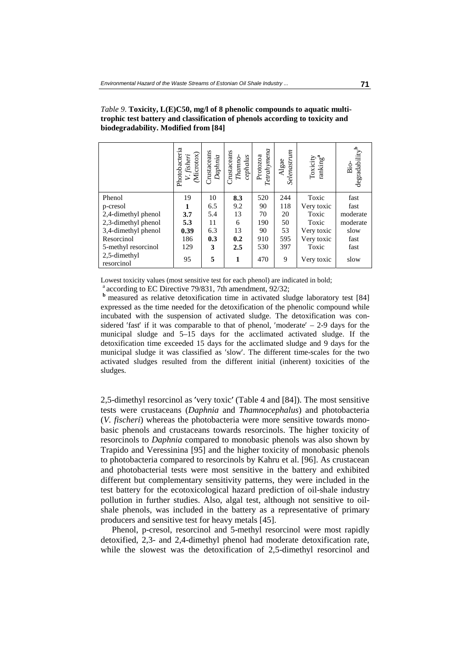|                            | Photobacteria<br>(Microtox)<br>V. fisheri | Crustaceans<br>Daphnia | Crustaceans<br>cephalus<br>Thamno- | $\it Terahymena$<br>Protozoa | Selenastrum<br>Algae | $\begin{array}{c} \text{Toxicity} \\ \text{ranking}^a \end{array}$ | degradability <sup>b</sup><br>$\sin \theta$ |
|----------------------------|-------------------------------------------|------------------------|------------------------------------|------------------------------|----------------------|--------------------------------------------------------------------|---------------------------------------------|
| Phenol                     | 19                                        | 10                     | 8.3                                | 520                          | 244                  | Toxic                                                              | fast                                        |
| p-cresol                   | 1                                         | 6.5                    | 9.2                                | 90                           | 118                  | Very toxic                                                         | fast                                        |
| 2,4-dimethyl phenol        | 3.7                                       | 5.4                    | 13                                 | 70                           | 20                   | Toxic                                                              | moderate                                    |
| 2,3-dimethyl phenol        | 5.3                                       | 11                     | 6                                  | 190                          | 50                   | Toxic                                                              | moderate                                    |
| 3,4-dimethyl phenol        | 0.39                                      | 6.3                    | 13                                 | 90                           | 53                   | Very toxic                                                         | slow                                        |
| Resorcinol                 | 186                                       | 0.3                    | 0.2                                | 910                          | 595                  | Very toxic                                                         | fast                                        |
| 5-methyl resorcinol        | 129                                       | 3                      | 2.5                                | 530                          | 397                  | Toxic                                                              | fast                                        |
| 2,5-dimethyl<br>resorcinol | 95                                        | 5                      | 1                                  | 470                          | 9                    | Very toxic                                                         | slow                                        |

*Table 9*. **Toxicity, L(E)C50, mg/l of 8 phenolic compounds to aquatic multitrophic test battery and classification of phenols according to toxicity and biodegradability. Modified from [84]** 

Lowest toxicity values (most sensitive test for each phenol) are indicated in bold;

<sup>a</sup> according to EC Directive 79/831, 7th amendment, 92/32;<br><sup>b</sup> measured as relative detoxification time in activated sludge laboratory test [84] expressed as the time needed for the detoxification of the phenolic compound while incubated with the suspension of activated sludge. The detoxification was considered 'fast' if it was comparable to that of phenol, 'moderate'  $-$  2-9 days for the 'fast' if it was comparable to that of phenol, 'moderate'  $-2$ -9 days for the all sludge and 5-15 days for the acclimated activated sludge. If the cation time exceeded 15 days for the acclimated sludge and 9 days for the municipal sludge and 5–15 days for the acclimated activated sludge. If the detoxification time exceeded 15 days for the acclimated sludge and 9 days for the municipal sludge it was classified as 'slow'. The different time-scales for the two ′slow′. The different time-scales for the two activated sludges resulted from the different initial (inherent) toxicities of the sludges.

2,5-dimethyl resorcinol as 'very toxic' (Table 4 and [84]). The most sensitive 'very toxic' (Table 4 and [84]). The most sensitive *aphnia* and *Thamnocephalus*) and photobacteria<br>bhotobacteria were more sensitive towards monotests were crustaceans (*Daphnia* and *Thamnocephalus*) and photobacteria (*V. fischeri*) whereas the photobacteria were more sensitive towards monobasic phenols and crustaceans towards resorcinols. The higher toxicity of resorcinols to *Daphnia* compared to monobasic phenols was also shown by Trapido and Veressinina [95] and the higher toxicity of monobasic phenols to photobacteria compared to resorcinols by Kahru et al. [96]. As crustacean and photobacterial tests were most sensitive in the battery and exhibited different but complementary sensitivity patterns, they were included in the test battery for the ecotoxicological hazard prediction of oil-shale industry pollution in further studies. Also, algal test, although not sensitive to oilshale phenols, was included in the battery as a representative of primary producers and sensitive test for heavy metals [45].

Phenol, p-cresol, resorcinol and 5-methyl resorcinol were most rapidly detoxified, 2,3- and 2,4-dimethyl phenol had moderate detoxification rate, while the slowest was the detoxification of 2,5-dimethyl resorcinol and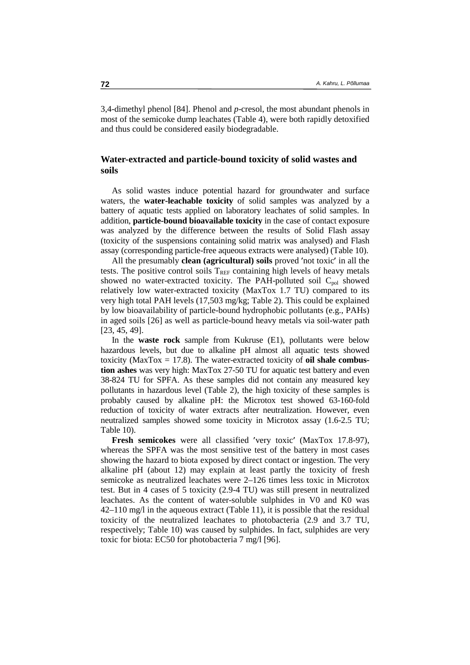3,4-dimethyl phenol [84]. Phenol and *p*-cresol, the most abundant phenols in most of the semicoke dump leachates (Table 4), were both rapidly detoxified and thus could be considered easily biodegradable.

### **Water-extracted and particle-bound toxicity of solid wastes and soils**

As solid wastes induce potential hazard for groundwater and surface waters, the **water-leachable toxicity** of solid samples was analyzed by a battery of aquatic tests applied on laboratory leachates of solid samples. In addition, **particle-bound bioavailable toxicity** in the case of contact exposure was analyzed by the difference between the results of Solid Flash assay (toxicity of the suspensions containing solid matrix was analysed) and Flash assay (corresponding particle-free aqueous extracts were analysed) (Table 10).

All the presumably **clean (agricultural)** soils proved 'not toxic' in all the The toxic' in all the<br>
els of heavy metals<br>
d soil  $C_{\text{pol}}$  showed tests. The positive control soils  $T_{REF}$  containing high levels of heavy metals showed no water-extracted toxicity. The PAH-polluted soil  $C_{pol}$  showed relatively low water-extracted toxicity (MaxTox 1.7 TU) compared to its very high total PAH levels (17,503 mg/kg; Table 2). This could be explained by low bioavailability of particle-bound hydrophobic pollutants (e.g., PAHs) in aged soils [26] as well as particle-bound heavy metals via soil-water path [23, 45, 49].

In the **waste rock** sample from Kukruse (E1), pollutants were below hazardous levels, but due to alkaline pH almost all aquatic tests showed toxicity (MaxTox = 17.8). The water-extracted toxicity of **oil shale combustion ashes** was very high: MaxTox 27-50 TU for aquatic test battery and even 38-824 TU for SPFA. As these samples did not contain any measured key pollutants in hazardous level (Table 2), the high toxicity of these samples is probably caused by alkaline pH: the Microtox test showed 63-160-fold reduction of toxicity of water extracts after neutralization. However, even neutralized samples showed some toxicity in Microtox assay (1.6-2.5 TU; Table 10).

**Fresh semicokes** were all classified 'very toxic' (MaxTox 17.8-97), very toxic' (MaxTox 17.8-97),<br>test of the battery in most cases<br>ect contact or ingestion. The very whereas the SPFA was the most sensitive test of the battery in most cases showing the hazard to biota exposed by direct contact or ingestion. The very alkaline pH (about 12) may explain at least partly the toxicity of fresh semicoke as neutralized leachates were 2–126 times less toxic in Microtox test. But in 4 cases of 5 toxicity (2.9-4 TU) was still present in neutralized leachates. As the content of water-soluble sulphides in V0 and K0 was 42–110 mg/l in the aqueous extract (Table 11), it is possible that the residual toxicity of the neutralized leachates to photobacteria (2.9 and 3.7 TU, respectively; Table 10) was caused by sulphides. In fact, sulphides are very toxic for biota: EC50 for photobacteria 7 mg/l [96].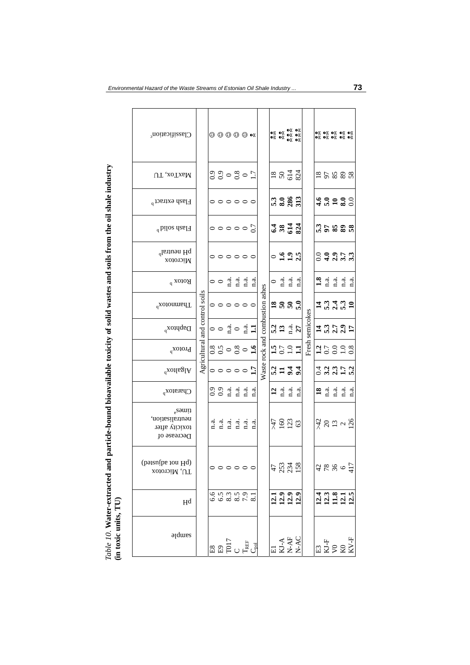|                                                                                            | Classification <sup>c</sup>                                            |                                | $\circledcirc \circledcirc \circledcirc$ ex                                                                                                                                                                               |      |                                       |      |                         |                         |                                 |                                                                                                                                                                                                           |                                              |      |              |                 |               |                 | ΘΧ ΘΧ ΘΧ ΘΧ ΘΧ<br>ΘΧ ΘΧ ΘΧ ΘΧ ΘΧ                                      |                                                |                                                                                                           |  |  |      |  |  |  |  |  |       |  |  |
|--------------------------------------------------------------------------------------------|------------------------------------------------------------------------|--------------------------------|---------------------------------------------------------------------------------------------------------------------------------------------------------------------------------------------------------------------------|------|---------------------------------------|------|-------------------------|-------------------------|---------------------------------|-----------------------------------------------------------------------------------------------------------------------------------------------------------------------------------------------------------|----------------------------------------------|------|--------------|-----------------|---------------|-----------------|-----------------------------------------------------------------------|------------------------------------------------|-----------------------------------------------------------------------------------------------------------|--|--|------|--|--|--|--|--|-------|--|--|
|                                                                                            | UT, xoTxaM                                                             |                                | 2300801                                                                                                                                                                                                                   |      |                                       |      |                         |                         |                                 |                                                                                                                                                                                                           | 3834                                         |      |              |                 |               |                 | 25388                                                                 |                                                |                                                                                                           |  |  |      |  |  |  |  |  |       |  |  |
|                                                                                            | Flash extract <sup>b</sup>                                             |                                |                                                                                                                                                                                                                           |      | 000000                                |      |                         |                         |                                 |                                                                                                                                                                                                           | <b>3385</b>                                  |      |              |                 |               |                 | 4.0280                                                                |                                                |                                                                                                           |  |  |      |  |  |  |  |  |       |  |  |
|                                                                                            | $^d$ biloz dzaF <sub>I</sub>                                           |                                |                                                                                                                                                                                                                           |      |                                       |      |                         |                         |                                 |                                                                                                                                                                                                           |                                              |      |              |                 |               | 000000          |                                                                       |                                                |                                                                                                           |  |  | 3844 |  |  |  |  |  | ິງຂອອ |  |  |
|                                                                                            | pH neutral <sup>b</sup><br>хотогой                                     |                                |                                                                                                                                                                                                                           |      | 000000                                |      |                         |                         |                                 | 0                                                                                                                                                                                                         | 1.925                                        |      |              |                 |               |                 | 0.99773                                                               |                                                |                                                                                                           |  |  |      |  |  |  |  |  |       |  |  |
|                                                                                            | $\text{Rootox}$ <sup>b</sup>                                           |                                | $\circ$ $\circ$ $\frac{4}{1}$ $\frac{4}{1}$                                                                                                                                                                               |      |                                       |      | $\mathbf{n}$ .a.        | $\vec{n}$ .             |                                 | $\circ$                                                                                                                                                                                                   | n.a.                                         | n.a. | $\ddot{a}$   |                 |               | $\frac{3}{1}$ d | n.a.                                                                  | n.a.                                           | n.a.                                                                                                      |  |  |      |  |  |  |  |  |       |  |  |
|                                                                                            | Thammotox <sup>b</sup>                                                 | Agricultural and control soils |                                                                                                                                                                                                                           |      | 000000                                |      |                         |                         | Waste rock and combustion ashes | 2880                                                                                                                                                                                                      |                                              |      |              |                 |               |                 | 7.5732                                                                |                                                |                                                                                                           |  |  |      |  |  |  |  |  |       |  |  |
|                                                                                            | $D^{\text{style}}$                                                     |                                | $\circ$                                                                                                                                                                                                                   |      | $\ddot{a}$ .                          |      | $\frac{a}{11}$          |                         |                                 |                                                                                                                                                                                                           | $\frac{3}{13}$ $\frac{3}{14}$ $\frac{3}{14}$ |      |              | Fresh semicokes |               |                 | $\frac{4}{1}$ $\frac{3}{1}$ $\frac{7}{1}$ $\frac{3}{1}$ $\frac{5}{1}$ |                                                |                                                                                                           |  |  |      |  |  |  |  |  |       |  |  |
|                                                                                            | $P_{\text{rotox}^b}$                                                   |                                | 89080                                                                                                                                                                                                                     |      |                                       |      |                         | $\tilde{a}$             |                                 | 1501                                                                                                                                                                                                      |                                              |      | Ξ            |                 |               |                 | 25328                                                                 |                                                |                                                                                                           |  |  |      |  |  |  |  |  |       |  |  |
|                                                                                            | $\operatorname{Adig}_q$                                                |                                | $\circ \circ \circ \circ \circ$                                                                                                                                                                                           |      |                                       |      |                         | 17                      |                                 |                                                                                                                                                                                                           | 23.74                                        |      |              |                 |               |                 | いこうにいい                                                                |                                                |                                                                                                           |  |  |      |  |  |  |  |  |       |  |  |
|                                                                                            | Churacy <sub>p</sub>                                                   |                                | $\begin{array}{c} 0.9 \\ 0.9 \end{array}$                                                                                                                                                                                 |      | n.a                                   | n.a. | $\mathbf{n}.\mathbf{a}$ | a.<br>n                 |                                 | $\mathbf{r}$                                                                                                                                                                                              | n.a.                                         | a    | $\mathbf{a}$ |                 | $\mathbf{18}$ | n.a.            |                                                                       | $\begin{array}{cc} a & a \\ a & a \end{array}$ | $\ddot{a}$                                                                                                |  |  |      |  |  |  |  |  |       |  |  |
| particle-bound bioavailable toxicity of solid wastes and soils from the oil shale industry | times <sup>a</sup><br>neutralisation,<br>toxicity after<br>Decrease of |                                | d.<br>E                                                                                                                                                                                                                   | n.a. | n.a.                                  | a    | n.a.                    | $\mathbf{n}.\mathbf{a}$ |                                 |                                                                                                                                                                                                           | 7833                                         |      |              |                 |               |                 | 289992                                                                |                                                |                                                                                                           |  |  |      |  |  |  |  |  |       |  |  |
|                                                                                            | (peraulba ton Hq)<br>TU, Microtox                                      |                                |                                                                                                                                                                                                                           |      | $\circ \circ \circ \circ \circ \circ$ |      |                         |                         |                                 | $47$<br>$234$<br>$158$                                                                                                                                                                                    |                                              |      |              |                 |               |                 | $7886$<br>$77$                                                        |                                                |                                                                                                           |  |  |      |  |  |  |  |  |       |  |  |
|                                                                                            | H <sub>q</sub>                                                         |                                |                                                                                                                                                                                                                           |      | 6538501<br>668850                     |      |                         |                         |                                 | 12392                                                                                                                                                                                                     |                                              |      |              |                 |               |                 |                                                                       |                                                | 111811<br>111111                                                                                          |  |  |      |  |  |  |  |  |       |  |  |
| Table 10. Water-extracted and<br>(in toxic units, TU)                                      | agdures                                                                |                                | $\begin{array}{c} \mathbb{E} \mathbb{B} \\ \mathbb{E} \mathbb{B} \mathbb{C} \\ \mathbb{C} \mathbb{C} \end{array} \begin{array}{c} \mathbb{E} \\ \mathbb{E} \mathbb{F} \\ \mathbb{E} \mathbb{E} \\ \mathbb{C} \end{array}$ |      |                                       |      |                         |                         |                                 | $\begin{array}{c} \mathbf{E1} \\ \mathbf{K1}\text{-}\mathbf{A} \\ \mathbf{N}\text{-}\mathbf{A}\mathbf{F} \\ \mathbf{N}\text{-}\mathbf{A}\mathbf{C} \\ \mathbf{N}\text{-}\mathbf{A}\mathbf{C} \end{array}$ |                                              |      |              |                 |               |                 |                                                                       |                                                | $\begin{array}{c c} \hline \text{E3} \\ \text{KJ-F} \\ \text{V0} \\ \text{K0} \\ \text{KV-F} \end{array}$ |  |  |      |  |  |  |  |  |       |  |  |

*Environmental Hazard of the Waste Streams of Estonian Oil Shale Industry ...* **73**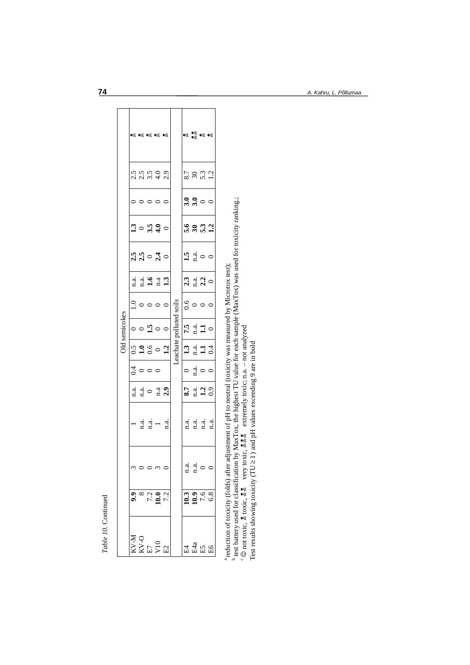|               |     |                   | <b>©Χ ©Χ ©Χ ©Χ ©Χ</b>                                                                                                                                                              |                                               |                                                                                                                                                                                                                                           |                   |                                                       | $\bullet$ x $\bullet$ x $\bullet$ x $\bullet$ x                                                                                                                                                                                                                                                                     |  |
|---------------|-----|-------------------|------------------------------------------------------------------------------------------------------------------------------------------------------------------------------------|-----------------------------------------------|-------------------------------------------------------------------------------------------------------------------------------------------------------------------------------------------------------------------------------------------|-------------------|-------------------------------------------------------|---------------------------------------------------------------------------------------------------------------------------------------------------------------------------------------------------------------------------------------------------------------------------------------------------------------------|--|
|               |     |                   | いこうのう<br>ここうせい                                                                                                                                                                     |                                               |                                                                                                                                                                                                                                           |                   |                                                       | 8.7<br>8.9.12<br>8.1                                                                                                                                                                                                                                                                                                |  |
|               |     |                   | 00000                                                                                                                                                                              |                                               |                                                                                                                                                                                                                                           |                   |                                                       | 3.300                                                                                                                                                                                                                                                                                                               |  |
|               |     |                   | $\mathbb{C}^3$ $\circ$ $\mathbb{C}^4$ $\circ$                                                                                                                                      |                                               |                                                                                                                                                                                                                                           |                   |                                                       | 58.3                                                                                                                                                                                                                                                                                                                |  |
|               |     |                   | $\frac{15}{10}$ $\frac{15}{10}$ $\frac{1}{10}$ $\frac{1}{10}$                                                                                                                      |                                               |                                                                                                                                                                                                                                           | $\frac{1.5}{n}$ 0 |                                                       |                                                                                                                                                                                                                                                                                                                     |  |
|               |     |                   | n. a. <b>9</b><br>n. a. 9<br>n. 3                                                                                                                                                  |                                               |                                                                                                                                                                                                                                           |                   |                                                       | $2.3$ $1.4$ $2.3$ $0$                                                                                                                                                                                                                                                                                               |  |
|               |     |                   |                                                                                                                                                                                    | $\frac{1}{2}$ $\circ$ $\circ$ $\circ$ $\circ$ | Leachate polluted soils<br>$\begin{array}{ c c } \hline & \textbf{1.3} & \textbf{7.5} & \textbf{0.6} \\ \hline \textbf{n}.\textbf{a} & \textbf{n}.\textbf{a} & \textbf{0} \\ \hline \textbf{1.1} & \textbf{1.1} & \textbf{0} \end{array}$ |                   |                                                       |                                                                                                                                                                                                                                                                                                                     |  |
| Old semicokes |     |                   |                                                                                                                                                                                    | $\circ$ $\circ$ $\frac{9}{4}$ $\circ$ $\circ$ |                                                                                                                                                                                                                                           | $7.3 \n1.1 \n0$   |                                                       |                                                                                                                                                                                                                                                                                                                     |  |
|               |     |                   | 3.38021                                                                                                                                                                            |                                               |                                                                                                                                                                                                                                           | $134$<br>$141$    |                                                       |                                                                                                                                                                                                                                                                                                                     |  |
|               |     | $\frac{3}{4}$ 0 0 |                                                                                                                                                                                    |                                               |                                                                                                                                                                                                                                           | $\circ$           |                                                       | $\frac{a}{n}$ o o                                                                                                                                                                                                                                                                                                   |  |
|               |     |                   | $\frac{a}{n}$ $\frac{d}{n}$ $\circ$ $\frac{a}{n}$ $\frac{3}{n}$                                                                                                                    |                                               |                                                                                                                                                                                                                                           |                   |                                                       | $\frac{3}{1}$ $\frac{3}{1}$ $\frac{3}{1}$ $\frac{3}{1}$ $\frac{3}{1}$ $\frac{3}{1}$ $\frac{3}{1}$ $\frac{3}{1}$ $\frac{3}{1}$ $\frac{3}{1}$ $\frac{3}{1}$ $\frac{3}{1}$ $\frac{3}{1}$ $\frac{3}{1}$ $\frac{3}{1}$ $\frac{3}{1}$ $\frac{3}{1}$ $\frac{3}{1}$ $\frac{3}{1}$ $\frac{3}{1}$ $\frac{3}{1}$ $\frac{3}{1}$ |  |
|               |     |                   | $\frac{1}{\text{d}} \cdot \frac{\text{d}}{\text{d}}$<br>$\frac{\text{d}}{\text{d}} \cdot \frac{\text{d}}{\text{d}}$<br>$\frac{\text{d}}{\text{d}} \cdot \frac{\text{d}}{\text{d}}$ |                                               |                                                                                                                                                                                                                                           |                   |                                                       |                                                                                                                                                                                                                                                                                                                     |  |
|               |     |                   |                                                                                                                                                                                    |                                               |                                                                                                                                                                                                                                           |                   | $\begin{array}{cc} a & a \\ \hline 1 & a \end{array}$ |                                                                                                                                                                                                                                                                                                                     |  |
|               | 9.9 |                   | $\frac{7.2}{7.2}$                                                                                                                                                                  |                                               |                                                                                                                                                                                                                                           |                   |                                                       | $\frac{10.3}{7.6}$                                                                                                                                                                                                                                                                                                  |  |
|               |     |                   | $\begin{array}{l} \tt KV\text{-}M \\ \tt KV\text{-}O \\ \tt E7 \\ \tt V10 \\ \tt M2 \\ \end{array}$                                                                                |                                               |                                                                                                                                                                                                                                           |                   |                                                       | 田 4 4<br>田 5 5<br>田 5 5                                                                                                                                                                                                                                                                                             |  |

a reduction of toxicity (folds) after adjustment of pH to neutral (toxicity was measured by Microtox test); b test battery used for classification by MaxTox, the highest TU value for each sample (MaxTox) was used for toxicity ranking.;

<sup>a</sup> reduction of toxicity (folds) after adjustment of pH to neutral (toxicity was measured by Microtox test);<br><sup>b</sup> test battery used for classification by MaxTox, the highest TU value for each sample (MaxTox) was used for C not toxic, g toxic, g g very toxic, g g g extremely toxic; n.a. – not analyzed Test results showing toxicity ( $TU \ge 1$ ) and pH values exceeding 9 are in bold

**74** *A. Kahru, L. Põllumaa* 

*Table 10.* Continued

Table 10. Continued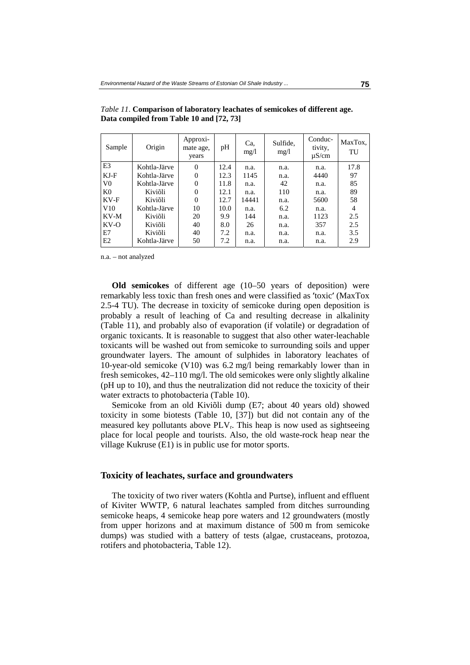| Sample         | Origin       | Approxi-<br>mate age,<br>years | pH   | Ca.<br>mg/l | Sulfide,<br>mg/l | Conduc-<br>tivity,<br>$\mu$ S/cm | MaxTox,<br>TU |
|----------------|--------------|--------------------------------|------|-------------|------------------|----------------------------------|---------------|
| E <sub>3</sub> | Kohtla-Järve | $\theta$                       | 12.4 | n.a.        | n.a.             | n.a.                             | 17.8          |
| $KJ-F$         | Kohtla-Järve | 0                              | 12.3 | 1145        | n.a.             | 4440                             | 97            |
| V <sub>0</sub> | Kohtla-Järve | $\theta$                       | 11.8 | n.a.        | 42               | n.a.                             | 85            |
| K <sub>0</sub> | Kiviõli      | 0                              | 12.1 | n.a.        | 110              | n.a.                             | 89            |
| $KV-F$         | Kiviõli      | $\Omega$                       | 12.7 | 14441       | n.a.             | 5600                             | 58            |
| V10            | Kohtla-Järve | 10                             | 10.0 | n.a.        | 6.2              | n.a.                             | 4             |
| KV-M           | Kiviõli      | 20                             | 9.9  | 144         | n.a.             | 1123                             | 2.5           |
| $KV-O$         | Kiviõli      | 40                             | 8.0  | 26          | n.a.             | 357                              | 2.5           |
| E7             | Kiviõli      | 40                             | 7.2  | n.a.        | n.a.             | n.a.                             | 3.5           |
| E2             | Kohtla-Järve | 50                             | 7.2  | n.a.        | n.a.             | n.a.                             | 2.9           |

*Table 11*. **Comparison of laboratory leachates of semicokes of different age. Data compiled from Table 10 and [72, 73]** 

n.a. – not analyzed

**Old semicokes** of different age (10–50 years of deposition) were remarkably less toxic than fresh ones and were classified as remarkably less toxic than fresh ones and were classified as 'toxic' (MaxTox 2.5-4 TU). The decrease in toxicity of semicoke during open deposition is probably a result of leaching of Ca and resulting decrease in alkalinit 2.5-4 TU). The decrease in toxicity of semicoke during open deposition is (Table 11), and probably also of evaporation (if volatile) or degradation of organic toxicants. It is reasonable to suggest that also other water-leachable toxicants will be washed out from semicoke to surrounding soils and upper groundwater layers. The amount of sulphides in laboratory leachates of 10-year-old semicoke (V10) was 6.2 mg/l being remarkably lower than in fresh semicokes, 42–110 mg/l. The old semicokes were only slightly alkaline (pH up to 10), and thus the neutralization did not reduce the toxicity of their water extracts to photobacteria (Table 10).

Semicoke from an old Kiviõli dump (E7; about 40 years old) showed toxicity in some biotests (Table 10, [37]) but did not contain any of the measured key pollutants above  $PLV_r$ . This heap is now used as sightseeing place for local people and tourists. Also, the old waste-rock heap near the village Kukruse (E1) is in public use for motor sports.

### **Toxicity of leachates, surface and groundwaters**

The toxicity of two river waters (Kohtla and Purtse), influent and effluent of Kiviter WWTP, 6 natural leachates sampled from ditches surrounding semicoke heaps, 4 semicoke heap pore waters and 12 groundwaters (mostly from upper horizons and at maximum distance of 500 m from semicoke dumps) was studied with a battery of tests (algae, crustaceans, protozoa, rotifers and photobacteria, Table 12).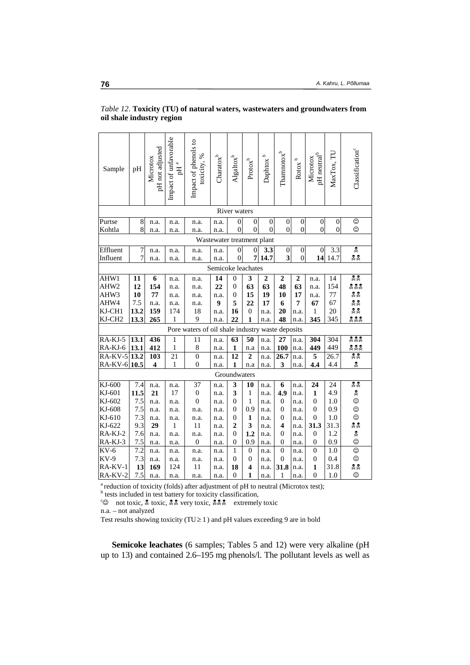| Sample               | pH                                                                                            | pH not adjusted<br>Microtox | Impact of unfavorable<br>ъщ<br>Б | Impact of phenols to<br>toxicity, %              | Charactered                | $\mathrm{Algalrox}^b$ | $\ensuremath{\mathrm{Prot}\mathrm{o}\xspace} x^b$ | $\mathbf{D}$ aphtox $^{\mathrm{b}}$ | $\Gamma$ hamnoto $x^b$  | م<br>Rotox       | pH neutral <sup>b</sup><br>Microtox | MaxTox, TU       | Classification <sup>c</sup> |
|----------------------|-----------------------------------------------------------------------------------------------|-----------------------------|----------------------------------|--------------------------------------------------|----------------------------|-----------------------|---------------------------------------------------|-------------------------------------|-------------------------|------------------|-------------------------------------|------------------|-----------------------------|
| River waters         |                                                                                               |                             |                                  |                                                  |                            |                       |                                                   |                                     |                         |                  |                                     |                  |                             |
| Purtse               | 8                                                                                             | n.a.                        | n.a.                             | n.a.                                             | n.a.                       | $\boldsymbol{0}$      | $\boldsymbol{0}$                                  | $\boldsymbol{0}$                    | $\boldsymbol{0}$        | $\boldsymbol{0}$ | $\boldsymbol{0}$                    | $\boldsymbol{0}$ | $_{\odot}$                  |
| Kohtla               | 8                                                                                             | n.a.                        | n.a.                             | n.a.                                             | n.a.                       | $\overline{0}$        | $\overline{0}$                                    | $\overline{0}$                      | $\overline{0}$          | $\overline{0}$   | $\overline{0}$                      | $\boldsymbol{0}$ | ☺                           |
|                      |                                                                                               |                             |                                  |                                                  | Wastewater treatment plant |                       |                                                   |                                     |                         |                  |                                     |                  |                             |
| Effluent             | $\boldsymbol{7}$                                                                              | n.a.                        | n.a.                             | n.a.                                             | n.a.                       | $\boldsymbol{0}$      | $\boldsymbol{0}$                                  | 3.3                                 | $\boldsymbol{0}$        | $\boldsymbol{0}$ | $\boldsymbol{0}$                    | 3.3              | Ý.                          |
| Influent             | $\overline{7}$                                                                                | n.a.                        | n.a.                             | n.a.                                             | n.a.                       | $\mathbf{0}$          | 7                                                 | 14.7                                | $\overline{\mathbf{3}}$ | $\overline{0}$   | 14                                  | 14.7             | 옷옷                          |
| Semicoke leachates   |                                                                                               |                             |                                  |                                                  |                            |                       |                                                   |                                     |                         |                  |                                     |                  |                             |
| AHW1                 | 11                                                                                            | 6                           | n.a.                             | n.a.                                             | 14                         | $\boldsymbol{0}$      | 3                                                 | $\boldsymbol{2}$                    | 2                       | 2                | n.a.                                | 14               | $\frac{3}{2}$               |
| AHW2                 | 12                                                                                            | 154                         | n.a.                             | n.a.                                             | 22                         | $\overline{0}$        | 63                                                | 63                                  | 48                      | 63               | n.a.                                | 154              | 222                         |
| AHW3                 | 10                                                                                            | 77                          | n.a.                             | n.a.                                             | n.a.                       | $\overline{0}$        | 15                                                | 19                                  | 10                      | 17               | n.a.                                | 77               | <u>8 X</u>                  |
| AHW4                 | 7.5                                                                                           | n.a.                        | n.a.                             | n.a.                                             | 9                          | 5                     | 22                                                | 17                                  | 6                       | 7                | 67                                  | 67               | ጄ ጅ                         |
| KJ-CH1               | 13.2                                                                                          | 159                         | 174                              | 18                                               | n.a.                       | 16                    | $\boldsymbol{0}$                                  | n.a.                                | 20                      | n.a.             | 1                                   | 20               | 옷옷                          |
| KJ-CH <sub>2</sub>   | 13.3                                                                                          | 265                         | 1                                | 9                                                | n.a.                       | 22                    | 1                                                 | n.a.                                | 48                      | n.a.             | 345                                 | 345              | 222                         |
|                      |                                                                                               |                             |                                  | Pore waters of oil shale industry waste deposits |                            |                       |                                                   |                                     |                         |                  |                                     |                  |                             |
| RA-KJ-5              | 13.1                                                                                          | 436                         | 1                                | 11                                               | n.a.                       | 63                    | $\overline{50}$                                   | n.a.                                | 27                      | n.a.             | 304                                 | 304              | Xa<br>Xa                    |
| RA-KJ-6              | 13.1                                                                                          | 412                         | $\mathbf{1}$                     | 8                                                | n.a.                       | 1                     | n.a                                               | n.a.                                | <b>100</b>              | n.a.             | 449                                 | 449              | 222                         |
| $R\overline{A-KV-5}$ | 13.2                                                                                          | 103                         | $\overline{21}$                  | $\mathbf{0}$                                     | n.a.                       | 12                    | $\overline{2}$                                    | n.a.                                | 26.7                    | n.a.             | 5                                   | 26.7             | $\frac{8}{36}$              |
| RA-KV-6 10.5         |                                                                                               | 4                           | $\,1$                            | $\overline{0}$                                   | n.a.                       | $\mathbf{1}$          | n.a                                               | n.a.                                | 3                       | n.a.             | 4,4                                 | 4.4              | Ž.                          |
|                      |                                                                                               |                             |                                  |                                                  |                            | Groundwaters          |                                                   |                                     |                         |                  |                                     |                  |                             |
| KJ-600               | 7.4                                                                                           | n.a.                        | n.a.                             | 37                                               | n.a.                       | 3                     | 10                                                | n.a.                                | 6                       | n.a.             | 24                                  | 24               | 22                          |
| KJ-601               | 11.5                                                                                          | 21                          | 17                               | $\boldsymbol{0}$                                 | n.a.                       | 3                     | 1                                                 | n.a.                                | 4.9                     | n.a.             | $\mathbf{1}$                        | 4.9              | Ž.                          |
| KJ-602               | 7.5                                                                                           | n.a.                        | n.a.                             | $\overline{0}$                                   | n.a.                       | 0                     | 1                                                 | n.a.                                | $\overline{0}$          | n.a.             | $\overline{0}$                      | 1.0              | ☺                           |
| KJ-608               | 7.5                                                                                           | n.a.                        | n.a.                             | n.a.                                             | n.a.                       | $\overline{0}$        | 0.9                                               | n.a.                                | 0                       | n.a.             | 0                                   | 0.9              | ☺                           |
| KJ-610               | 7.3                                                                                           | n.a.                        | n.a.                             | n.a.                                             | n.a.                       | $\overline{0}$        | 1                                                 | n.a.                                | $\boldsymbol{0}$        | n.a.             | $\theta$                            | 1.0              | $\odot$                     |
| KJ-622               | 9.3                                                                                           | 29                          | 1                                | 11                                               | n.a.                       | $\overline{2}$        | 3                                                 | n.a.                                | 4                       | n.a.             | 31.3                                | 31.3             | ደ ጅ                         |
| RA-KJ-2              | 7.6                                                                                           | n.a.                        | n.a.                             | n.a.                                             | n.a.                       | 0                     | 1.2                                               | n.a.                                | 0                       | n.a.             | $\mathbf{0}$                        | 1.2              | X.                          |
| RA-KJ-3              | 7.5                                                                                           | n.a.                        | n.a.                             | $\overline{0}$                                   | n.a.                       | $\overline{0}$        | 0.9                                               | n.a.                                | $\theta$                | n.a.             | $\overline{0}$                      | 0.9              | $\odot$                     |
| $KV-6$               | 7.2                                                                                           | n.a.                        | n.a.                             | n.a.                                             | n.a.                       | 1                     | $\boldsymbol{0}$                                  | n.a.                                | $\boldsymbol{0}$        | n.a.             | $\boldsymbol{0}$                    | 1.0              | $\odot$                     |
| $KV-9$               | 7.3                                                                                           | n.a.                        | n.a.                             | n.a.                                             | n.a.                       | 0                     | 0                                                 | n.a.                                | $\boldsymbol{0}$        | n.a.             | $\mathbf{0}$                        | 0.4              | ☺                           |
| RA-KV-1              | 13                                                                                            | 169                         | 124                              | 11                                               | n.a.                       | 18                    | $\boldsymbol{4}$                                  | n.a.                                | 31.8                    | n.a.             | $\mathbf{1}$                        | 31.8             | 옷옷                          |
| RA-KV-2              | 7.5                                                                                           | n.a.                        | n.a.                             | n.a.                                             | n.a.                       | $\mathbf{0}$          | $\mathbf{1}$                                      | n.a.                                | 1                       | n.a.             | $\mathbf{0}$                        | 1.0              | $\odot$                     |
|                      | <sup>a</sup> reduction of toxicity (folds) after adjustment of pH to neutral (Microtox test); |                             |                                  |                                                  |                            |                       |                                                   |                                     |                         |                  |                                     |                  |                             |

### *Table 12*. **Toxicity (TU) of natural waters, wastewaters and groundwaters from oil shale industry region**

<sup>b</sup> tests included in test battery for toxicity classification,

 $\begin{bmatrix} \infty \\ \infty \end{bmatrix}$  not toxic,  $\stackrel{2}{\sim}$  toxic,  $\stackrel{2}{\sim} \stackrel{2}{\sim}$  very toxic,  $\stackrel{2}{\sim} \stackrel{2}{\sim}$  extremely toxic

n.a. – not analyzed

Test results showing toxicity (TU  $\geq$  1) and pH values exceeding 9 are in bold

**Semicoke leachates** (6 samples; Tables 5 and 12) were very alkaline (pH up to 13) and contained 2.6–195 mg phenols/l. The pollutant levels as well as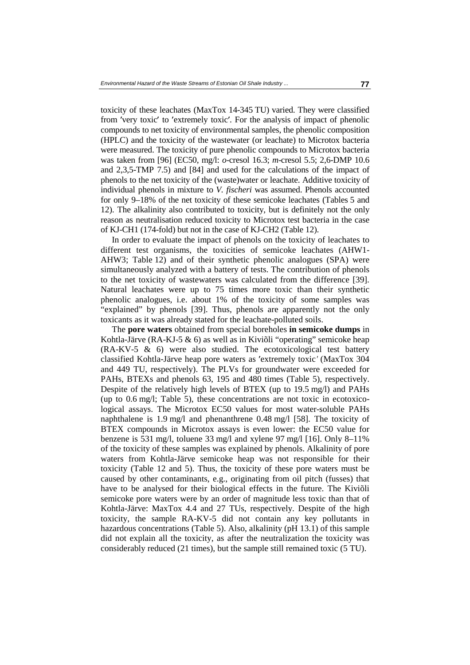toxicity of these leachates (MaxTox 14-345 TU) varied. They were classified from 'very toxic' to 'extremely toxic'. For the analysis of impact of phenolic compounds to net toxicity of environmental samples, the phenolic composition (HPLC) and the toxicity of the wastewater (or leachate) to Microto compounds to net toxicity of environmental samples, the phenolic composition (HPLC) and the toxicity of the wastewater (or leachate) to Microtox bacteria were measured. The toxicity of pure phenolic compounds to Microtox bacteria was taken from [96] (EC50, mg/l: *o*-cresol 16.3; *m*-cresol 5.5; 2,6-DMP 10.6 and 2,3,5-TMP 7.5) and [84] and used for the calculations of the impact of phenols to the net toxicity of the (waste)water or leachate. Additive toxicity of individual phenols in mixture to *V. fischeri* was assumed. Phenols accounted for only 9–18% of the net toxicity of these semicoke leachates (Tables 5 and 12). The alkalinity also contributed to toxicity, but is definitely not the only reason as neutralisation reduced toxicity to Microtox test bacteria in the case of KJ-CH1 (174-fold) but not in the case of KJ-CH2 (Table 12).

In order to evaluate the impact of phenols on the toxicity of leachates to different test organisms, the toxicities of semicoke leachates (AHW1- AHW3; Table 12) and of their synthetic phenolic analogues (SPA) were simultaneously analyzed with a battery of tests. The contribution of phenols to the net toxicity of wastewaters was calculated from the difference [39]. Natural leachates were up to 75 times more toxic than their synthetic phenolic analogues, i.e. about 1% of the toxicity of some samples was "explained" by phenols [39]. Thus, phenols are apparently not the only toxicants as it was already stated for the leachate-polluted soils.

The **pore waters** obtained from special boreholes **in semicoke dumps** in Kohtla-Järve (RA-KJ-5 & 6) as well as in Kiviõli "operating" semicoke heap (RA-KV-5 & 6) were also studied. The ecotoxicological test battery classified Kohtla-Järve heap pore waters as 'extremely toxic' (MaxTox 304 and 449 TU, respectively). The PLVs for groundwater were exceeded for PAHs, BTEXs and phenols 63, 195 and 480 times (Table 5), respectively. and 449 TU, respectively). The PLVs for groundwater were exceeded for PAHs, BTEXs and phenols 63, 195 and 480 times (Table 5), respectively. Despite of the relatively high levels of BTEX (up to 19.5 mg/l) and PAHs (up to 0.6 mg/l; Table 5), these concentrations are not toxic in ecotoxicological assays. The Microtox EC50 values for most water-soluble PAHs naphthalene is 1.9 mg/l and phenanthrene 0.48 mg/l [58]. The toxicity of BTEX compounds in Microtox assays is even lower: the EC50 value for benzene is 531 mg/l, toluene 33 mg/l and xylene 97 mg/l [16]. Only 8–11% of the toxicity of these samples was explained by phenols. Alkalinity of pore waters from Kohtla-Järve semicoke heap was not responsible for their toxicity (Table 12 and 5). Thus, the toxicity of these pore waters must be caused by other contaminants, e.g., originating from oil pitch (fusses) that have to be analysed for their biological effects in the future. The Kiviõli semicoke pore waters were by an order of magnitude less toxic than that of Kohtla-Järve: MaxTox 4.4 and 27 TUs, respectively. Despite of the high toxicity, the sample RA-KV-5 did not contain any key pollutants in hazardous concentrations (Table 5). Also, alkalinity (pH 13.1) of this sample did not explain all the toxicity, as after the neutralization the toxicity was considerably reduced (21 times), but the sample still remained toxic (5 TU).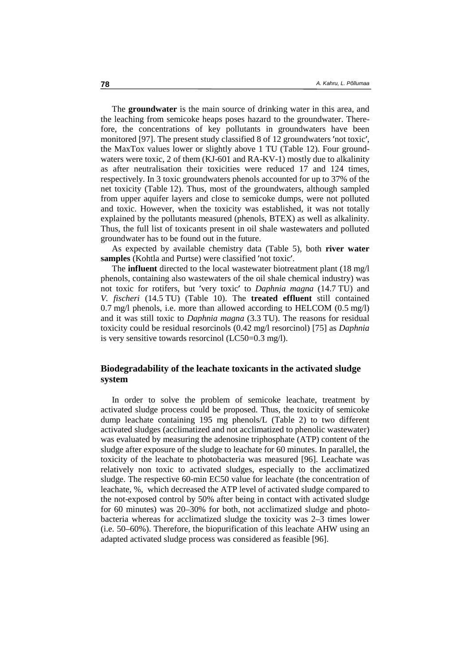The **groundwater** is the main source of drinking water in this area, and the leaching from semicoke heaps poses hazard to the groundwater. Therefore, the concentrations of key pollutants in groundwaters have been monitored [97]. The present study classified 8 of 12 groundwaters 'not toxic'. ′not toxic′, the MaxTox values lower or slightly above 1 TU (Table 12). Four groundwaters were toxic, 2 of them (KJ-601 and RA-KV-1) mostly due to alkalinity as after neutralisation their toxicities were reduced 17 and 124 times, respectively. In 3 toxic groundwaters phenols accounted for up to 37% of the net toxicity (Table 12). Thus, most of the groundwaters, although sampled from upper aquifer layers and close to semicoke dumps, were not polluted and toxic. However, when the toxicity was established, it was not totally explained by the pollutants measured (phenols, BTEX) as well as alkalinity. Thus, the full list of toxicants present in oil shale wastewaters and polluted groundwater has to be found out in the future.

As expected by available chemistry data (Table 5), both **river water** 

**samples** (Kohtla and Purtse) were classified 'not toxic'.<br>The **influent** directed to the local wastewater biotrear<br>phenols, containing also wastewaters of the oil shale ch The **influent** directed to the local wastewater biotreatment plant (18 mg/l phenols, containing also wastewaters of the oil shale chemical industry) was not toxic for rotifers, but 'very toxic' to Daphnia magna (14.7 TU) and not toxic for rotifers, but 'very toxic' to *Daphnia magna* (14.7 TU) and *V. fischeri* (14.5 TU) (Table 10). The **treated effluent** still contained 0.7 mg/l phenols, i.e. more than allowed according to HELCOM (0.5 mg/l) *V. fischeri* (14.5 TU) (Table 10). The **treated effluent** still contained and it was still toxic to *Daphnia magna* (3.3 TU). The reasons for residual toxicity could be residual resorcinols (0.42 mg/l resorcinol) [75] as *Daphnia* is very sensitive towards resorcinol (LC50=0.3 mg/l).

# **Biodegradability of the leachate toxicants in the activated sludge system**

In order to solve the problem of semicoke leachate, treatment by activated sludge process could be proposed. Thus, the toxicity of semicoke dump leachate containing 195 mg phenols/L (Table 2) to two different activated sludges (acclimatized and not acclimatized to phenolic wastewater) was evaluated by measuring the adenosine triphosphate (ATP) content of the sludge after exposure of the sludge to leachate for 60 minutes. In parallel, the toxicity of the leachate to photobacteria was measured [96]. Leachate was relatively non toxic to activated sludges, especially to the acclimatized sludge. The respective 60-min EC50 value for leachate (the concentration of leachate, %, which decreased the ATP level of activated sludge compared to the not-exposed control by 50% after being in contact with activated sludge for 60 minutes) was 20–30% for both, not acclimatized sludge and photobacteria whereas for acclimatized sludge the toxicity was 2–3 times lower (i.e. 50–60%). Therefore, the biopurification of this leachate AHW using an adapted activated sludge process was considered as feasible [96].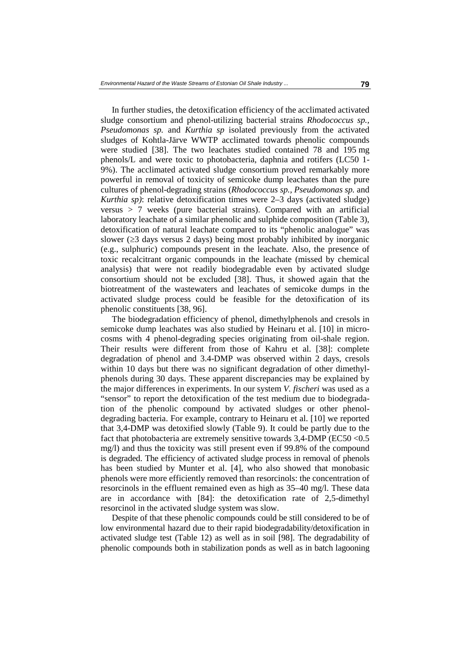In further studies, the detoxification efficiency of the acclimated activated sludge consortium and phenol-utilizing bacterial strains *Rhodococcus sp., Pseudomonas sp.* and *Kurthia sp* isolated previously from the activated sludges of Kohtla-Järve WWTP acclimated towards phenolic compounds were studied [38]. The two leachates studied contained 78 and 195 mg phenols/L and were toxic to photobacteria, daphnia and rotifers (LC50 1- 9%). The acclimated activated sludge consortium proved remarkably more powerful in removal of toxicity of semicoke dump leachates than the pure cultures of phenol-degrading strains (*Rhodococcus sp., Pseudomonas sp.* and *Kurthia sp)*: relative detoxification times were 2–3 days (activated sludge) versus > 7 weeks (pure bacterial strains). Compared with an artificial laboratory leachate of a similar phenolic and sulphide composition (Table 3), detoxification of natural leachate compared to its "phenolic analogue" was slower ( $\geq$ 3 days versus 2 days) being most probably inhibited by inorganic (e.g., sulphuric) compounds present in the leachate. Also, the presence of toxic recalcitrant organic compounds in the leachate (missed by chemical analysis) that were not readily biodegradable even by activated sludge consortium should not be excluded [38]. Thus, it showed again that the biotreatment of the wastewaters and leachates of semicoke dumps in the activated sludge process could be feasible for the detoxification of its phenolic constituents [38, 96].

The biodegradation efficiency of phenol, dimethylphenols and cresols in semicoke dump leachates was also studied by Heinaru et al. [10] in microcosms with 4 phenol-degrading species originating from oil-shale region. Their results were different from those of Kahru et al. [38]: complete degradation of phenol and 3.4-DMP was observed within 2 days, cresols within 10 days but there was no significant degradation of other dimethylphenols during 30 days. These apparent discrepancies may be explained by the major differences in experiments. In our system *V. fischeri* was used as a "sensor" to report the detoxification of the test medium due to biodegradation of the phenolic compound by activated sludges or other phenoldegrading bacteria. For example, contrary to Heinaru et al. [10] we reported that 3,4-DMP was detoxified slowly (Table 9). It could be partly due to the fact that photobacteria are extremely sensitive towards 3,4-DMP (EC50 <0.5 mg/l) and thus the toxicity was still present even if 99.8% of the compound is degraded. The efficiency of activated sludge process in removal of phenols has been studied by Munter et al. [4], who also showed that monobasic phenols were more efficiently removed than resorcinols: the concentration of resorcinols in the effluent remained even as high as 35–40 mg/l. These data are in accordance with [84]: the detoxification rate of 2,5-dimethyl resorcinol in the activated sludge system was slow.

Despite of that these phenolic compounds could be still considered to be of low environmental hazard due to their rapid biodegradability/detoxification in activated sludge test (Table 12) as well as in soil [98]. The degradability of phenolic compounds both in stabilization ponds as well as in batch lagooning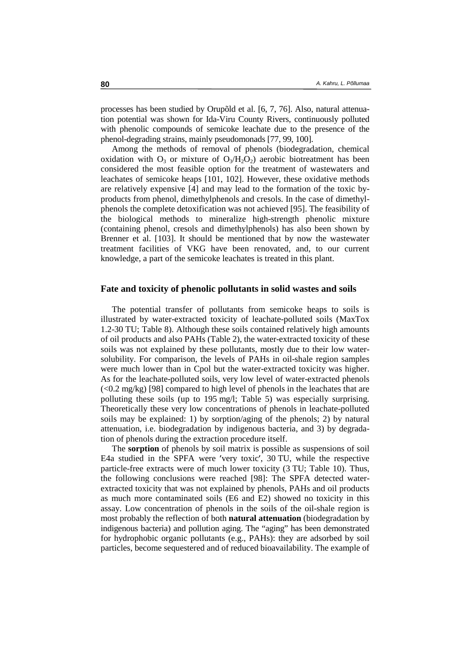processes has been studied by Orupõld et al. [6, 7, 76]. Also, natural attenuation potential was shown for Ida-Viru County Rivers, continuously polluted with phenolic compounds of semicoke leachate due to the presence of the phenol-degrading strains, mainly pseudomonads [77, 99, 100].

Among the methods of removal of phenols (biodegradation, chemical oxidation with  $O_3$  or mixture of  $O_3/H_2O_2$ ) aerobic biotreatment has been considered the most feasible option for the treatment of wastewaters and leachates of semicoke heaps [101, 102]. However, these oxidative methods are relatively expensive [4] and may lead to the formation of the toxic byproducts from phenol, dimethylphenols and cresols. In the case of dimethylphenols the complete detoxification was not achieved [95]. The feasibility of the biological methods to mineralize high-strength phenolic mixture (containing phenol, cresols and dimethylphenols) has also been shown by Brenner et al. [103]. It should be mentioned that by now the wastewater treatment facilities of VKG have been renovated, and, to our current knowledge, a part of the semicoke leachates is treated in this plant.

### **Fate and toxicity of phenolic pollutants in solid wastes and soils**

The potential transfer of pollutants from semicoke heaps to soils is illustrated by water-extracted toxicity of leachate-polluted soils (MaxTox 1.2-30 TU; Table 8). Although these soils contained relatively high amounts of oil products and also PAHs (Table 2), the water-extracted toxicity of these soils was not explained by these pollutants, mostly due to their low watersolubility. For comparison, the levels of PAHs in oil-shale region samples were much lower than in Cpol but the water-extracted toxicity was higher. As for the leachate-polluted soils, very low level of water-extracted phenols (<0.2 mg/kg) [98] compared to high level of phenols in the leachates that are polluting these soils (up to 195 mg/l; Table 5) was especially surprising. Theoretically these very low concentrations of phenols in leachate-polluted soils may be explained: 1) by sorption/aging of the phenols; 2) by natural attenuation, i.e. biodegradation by indigenous bacteria, and 3) by degradation of phenols during the extraction procedure itself.

The **sorption** of phenols by soil matrix is possible as suspensions of soil E4a studied in the SPFA were 'very toxic', 30 TU, while the respective E4a studied in the SPFA were 'very toxic', 30 TU, while the respective particle-free extracts were of much lower toxicity (3 TU; Table 10). Thus, the following conclusions were reached [98]: The SPFA detected waterparticle-free extracts were of much lower toxicity (3 TU; Table 10). Thus, extracted toxicity that was not explained by phenols, PAHs and oil products as much more contaminated soils (E6 and E2) showed no toxicity in this assay. Low concentration of phenols in the soils of the oil-shale region is most probably the reflection of both **natural attenuation** (biodegradation by indigenous bacteria) and pollution aging. The "aging" has been demonstrated for hydrophobic organic pollutants (e.g., PAHs): they are adsorbed by soil particles, become sequestered and of reduced bioavailability. The example of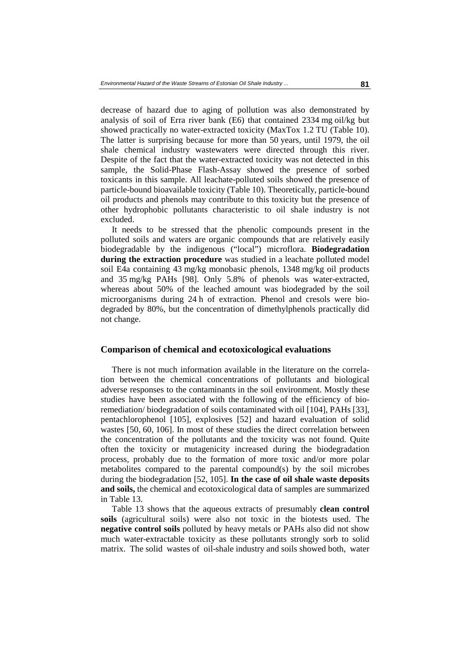decrease of hazard due to aging of pollution was also demonstrated by analysis of soil of Erra river bank (E6) that contained 2334 mg oil/kg but showed practically no water-extracted toxicity (MaxTox 1.2 TU (Table 10). The latter is surprising because for more than 50 years, until 1979, the oil shale chemical industry wastewaters were directed through this river. Despite of the fact that the water-extracted toxicity was not detected in this sample, the Solid-Phase Flash-Assay showed the presence of sorbed toxicants in this sample. All leachate-polluted soils showed the presence of particle-bound bioavailable toxicity (Table 10). Theoretically, particle-bound oil products and phenols may contribute to this toxicity but the presence of other hydrophobic pollutants characteristic to oil shale industry is not excluded.

It needs to be stressed that the phenolic compounds present in the polluted soils and waters are organic compounds that are relatively easily biodegradable by the indigenous ("local") microflora. **Biodegradation during the extraction procedure** was studied in a leachate polluted model soil E4a containing 43 mg/kg monobasic phenols, 1348 mg/kg oil products and 35 mg/kg PAHs [98]. Only 5.8% of phenols was water-extracted, whereas about 50% of the leached amount was biodegraded by the soil microorganisms during 24 h of extraction. Phenol and cresols were biodegraded by 80%, but the concentration of dimethylphenols practically did not change.

#### **Comparison of chemical and ecotoxicological evaluations**

There is not much information available in the literature on the correlation between the chemical concentrations of pollutants and biological adverse responses to the contaminants in the soil environment. Mostly these studies have been associated with the following of the efficiency of bioremediation/ biodegradation of soils contaminated with oil [104], PAHs [33], pentachlorophenol [105], explosives [52] and hazard evaluation of solid wastes [50, 60, 106]. In most of these studies the direct correlation between the concentration of the pollutants and the toxicity was not found. Quite often the toxicity or mutagenicity increased during the biodegradation process, probably due to the formation of more toxic and/or more polar metabolites compared to the parental compound(s) by the soil microbes during the biodegradation [52, 105]. **In the case of oil shale waste deposits and soils,** the chemical and ecotoxicological data of samples are summarized in Table 13.

Table 13 shows that the aqueous extracts of presumably **clean control soils** (agricultural soils) were also not toxic in the biotests used. The **negative control soils** polluted by heavy metals or PAHs also did not show much water-extractable toxicity as these pollutants strongly sorb to solid matrix. The solid wastes of oil-shale industry and soils showed both, water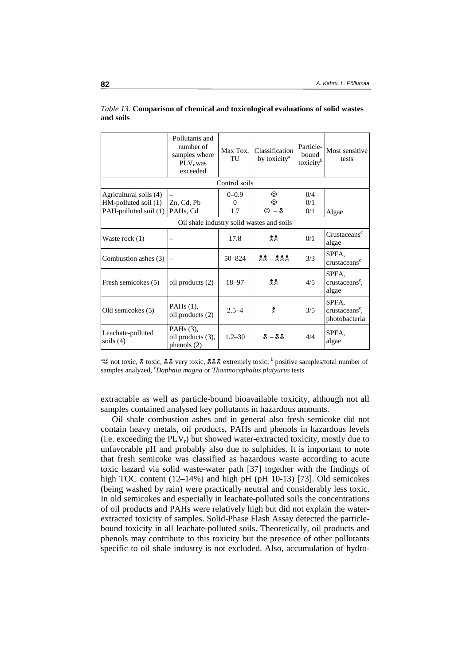|                                                                         | Pollutants and<br>number of<br>samples where<br>PLV <sub>r</sub> was<br>exceeded | Max Tox,<br>TU               | Classification<br>by toxicity <sup>a</sup>                         | Particle-<br>bound<br>toxicity <sup>b</sup> | Most sensitive<br>tests                              |  |  |  |  |  |
|-------------------------------------------------------------------------|----------------------------------------------------------------------------------|------------------------------|--------------------------------------------------------------------|---------------------------------------------|------------------------------------------------------|--|--|--|--|--|
|                                                                         |                                                                                  | Control soils                |                                                                    |                                             |                                                      |  |  |  |  |  |
| Agricultural soils (4)<br>HM-polluted soil (1)<br>PAH-polluted soil (1) | Zn, Cd, Pb<br>PAHs, Cd                                                           | $0 - 0.9$<br>$\Omega$<br>1.7 | ☺<br>☺<br>- 2<br>☺                                                 | 0/4<br>0/1<br>0/1                           | Algae                                                |  |  |  |  |  |
|                                                                         | Oil shale industry solid wastes and soils                                        |                              |                                                                    |                                             |                                                      |  |  |  |  |  |
| Waste rock (1)                                                          |                                                                                  | 17.8                         | 22                                                                 | 0/1                                         | Crustaceans <sup>c</sup><br>algae                    |  |  |  |  |  |
| Combustion ashes (3)                                                    |                                                                                  | $50 - 824$                   | $22 - 222$                                                         | 3/3                                         | SPFA,<br>crustaceans <sup>c</sup>                    |  |  |  |  |  |
| Fresh semicokes (5)                                                     | oil products (2)                                                                 | $18 - 97$                    | <u>昊昊</u>                                                          | 4/5                                         | SPFA.<br>crustaceans <sup>c</sup> ,<br>algae         |  |  |  |  |  |
| Old semicokes (5)                                                       | PAHs $(1)$ ,<br>oil products (2)                                                 | $2.5 - 4$                    | ¥.                                                                 | 3/5                                         | SPFA,<br>crustaceans <sup>c</sup> ,<br>photobacteria |  |  |  |  |  |
| Leachate-polluted<br>soils $(4)$                                        | PAHs $(3)$ ,<br>oil products (3),<br>phenols (2)                                 | $1.2 - 30$                   | $\stackrel{2}{\times} - \stackrel{2}{\times} \stackrel{2}{\times}$ | 4/4                                         | SPFA,<br>algae                                       |  |  |  |  |  |

*Table 13*. **Comparison of chemical and toxicological evaluations of solid wastes and soils** 

<sup>a</sup>© not toxic, \$ toxic, \$ \toxic, \$ \toxic, \$ \toxic, \$ extremely toxic; b positive samples/total number of samples analyzed *Combina magna* or *Thampocephalus platvurus* tests samples analyzed, <sup>c</sup>Daphnia magna or *Thamnocephalus platyurus* tests

extractable as well as particle-bound bioavailable toxicity, although not all samples contained analysed key pollutants in hazardous amounts.

Oil shale combustion ashes and in general also fresh semicoke did not contain heavy metals, oil products, PAHs and phenols in hazardous levels (i.e. exceeding the  $PLV_r$ ) but showed water-extracted toxicity, mostly due to unfavorable pH and probably also due to sulphides. It is important to note that fresh semicoke was classified as hazardous waste according to acute toxic hazard via solid waste-water path [37] together with the findings of high TOC content (12–14%) and high pH (pH 10-13) [73]. Old semicokes (being washed by rain) were practically neutral and considerably less toxic. In old semicokes and especially in leachate-polluted soils the concentrations of oil products and PAHs were relatively high but did not explain the waterextracted toxicity of samples. Solid-Phase Flash Assay detected the particlebound toxicity in all leachate-polluted soils. Theoretically, oil products and phenols may contribute to this toxicity but the presence of other pollutants specific to oil shale industry is not excluded. Also, accumulation of hydro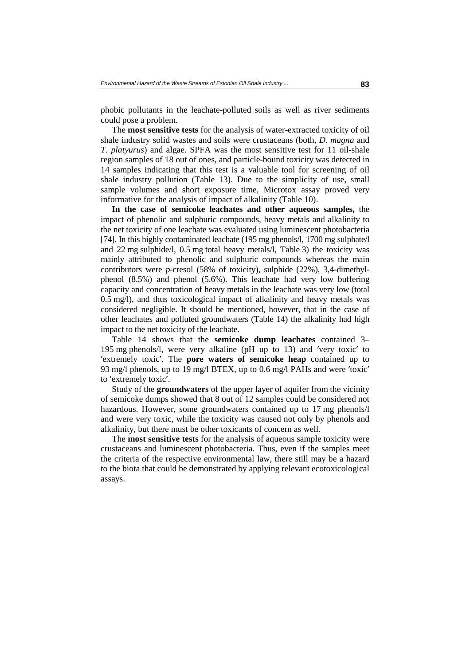phobic pollutants in the leachate-polluted soils as well as river sediments could pose a problem.

The **most sensitive tests** for the analysis of water-extracted toxicity of oil shale industry solid wastes and soils were crustaceans (both, *D. magna* and *T. platyurus*) and algae. SPFA was the most sensitive test for 11 oil-shale region samples of 18 out of ones, and particle-bound toxicity was detected in 14 samples indicating that this test is a valuable tool for screening of oil shale industry pollution (Table 13). Due to the simplicity of use, small sample volumes and short exposure time, Microtox assay proved very informative for the analysis of impact of alkalinity (Table 10).

**In the case of semicoke leachates and other aqueous samples,** the impact of phenolic and sulphuric compounds, heavy metals and alkalinity to the net toxicity of one leachate was evaluated using luminescent photobacteria [74]. In this highly contaminated leachate (195 mg phenols/l, 1700 mg sulphate/l and 22 mg sulphide/l, 0.5 mg total heavy metals/l, Table 3) the toxicity was mainly attributed to phenolic and sulphuric compounds whereas the main contributors were *p*-cresol (58% of toxicity), sulphide (22%), 3,4-dimethylphenol (8.5%) and phenol (5.6%). This leachate had very low buffering capacity and concentration of heavy metals in the leachate was very low (total 0.5 mg/l), and thus toxicological impact of alkalinity and heavy metals was considered negligible. It should be mentioned, however, that in the case of other leachates and polluted groundwaters (Table 14) the alkalinity had high impact to the net toxicity of the leachate.

Table 14 shows that the **semicoke dump leachates** contained 3– 195 mg phenols/l, were very alkaline (pH up to 13) and very toxic' to<br>bontained up to<br>nd were 'toxic' 'extremely toxic'. The **pore waters of semicoke heap** contained up to 93 mg/l phenols, up to 19 mg/l BTEX, up to 0.6 mg/l PAHs and were 'toxic' to 'extremely toxic'. 93 mg/l phenols, up to 19 mg/l BTEX, up to 0.6 mg/l PAHs and were 'toxic'<br>to 'extremely toxic'.<br>Study of the **groundwaters** of the upper layer of aquifer from the vicinity to 'extremely toxic'.

to 'extremely toxic'.<br>
Study of the **groundwaters** of the upper layer of aquifer from the vicinity<br>
of semicoke dumps showed that 8 out of 12 samples could be considered not Study of the **groundwaters** of the upper layer of aquifer from the vicinity hazardous. However, some groundwaters contained up to 17 mg phenols/l and were very toxic, while the toxicity was caused not only by phenols and alkalinity, but there must be other toxicants of concern as well.

The **most sensitive tests** for the analysis of aqueous sample toxicity were crustaceans and luminescent photobacteria. Thus, even if the samples meet the criteria of the respective environmental law, there still may be a hazard to the biota that could be demonstrated by applying relevant ecotoxicological assays.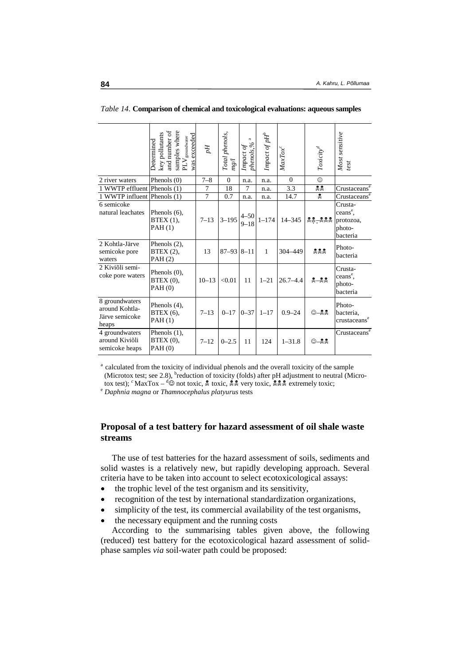|                                                             | samples where<br>and number of<br>key pollutants<br>was exceeded<br>groundwater<br><b>Determined</b><br>PLV | $\mathbb{H}^d$ | Total phenols,<br>ng/l | $\approx$<br>phenols, %<br>Impact of | Impact of pH <sup>e</sup> | $MaxTox^c$   | $Toxicity^d$ | Most sensitive<br>test                                             |
|-------------------------------------------------------------|-------------------------------------------------------------------------------------------------------------|----------------|------------------------|--------------------------------------|---------------------------|--------------|--------------|--------------------------------------------------------------------|
| 2 river waters                                              | Phenols $(0)$                                                                                               | $7 - 8$        | $\mathbf{0}$           | n.a.                                 | n.a.                      | $\Omega$     | $\odot$      |                                                                    |
| 1 WWTP effluent Phenols (1)                                 |                                                                                                             | 7              | 18                     | 7                                    | n.a.                      | 3.3          | ደ ደ          | Crustaceans <sup>e</sup>                                           |
| 1 WWTP influent Phenols (1)                                 |                                                                                                             | $\tau$         | 0.7                    | n.a.                                 | n.a.                      | 14.7         | L.           | Crustaceans                                                        |
| 6 semicoke<br>natural leachates                             | Phenols $(6)$ ,<br>BTEX(1),<br>PAH(1)                                                                       | $7 - 13$       | $3 - 195$              | $4 - 50$<br>$9 - 18$                 | $1 - 174$                 | $14 - 345$   | 22-222       | Crusta-<br>ceans <sup>e</sup> ,<br>protozoa,<br>photo-<br>bacteria |
| 2 Kohtla-Järve<br>semicoke pore<br>waters                   | Phenols (2),<br>BTEX (2),<br>PAH(2)                                                                         | 13             | $87 - 93$ $8 - 11$     |                                      | $\mathbf{1}$              | 304-449      | 222          | Photo-<br>bacteria                                                 |
| 2 Kiviõli semi-<br>coke pore waters                         | Phenols $(0)$ ,<br>BTEX (0),<br>PAH(0)                                                                      | $10 - 13$      | < 0.01                 | 11                                   | $1 - 21$                  | $26.7 - 4.4$ | $-22$        | Crusta-<br>ceans <sup>e</sup> ,<br>photo-<br>bacteria              |
| 8 groundwaters<br>around Kohtla-<br>Järve semicoke<br>heaps | Phenols (4),<br><b>BTEX</b> (6),<br>PAH(1)                                                                  | $7 - 13$       | $0 - 17$               | $0 - 37$                             | $1 - 17$                  | $0.9 - 24$   | ©–‰          | Photo-<br>bacteria,<br>crustaceans <sup>e</sup>                    |
| 4 groundwaters<br>around Kiviõli<br>semicoke heaps          | Phenols $(1)$ ,<br>BTEX(0),<br>PAH(0)                                                                       | $7 - 12$       | $0 - 2.5$              | 11                                   | 124                       | $1 - 31.8$   | ©–‰          | Crustaceans <sup>e</sup>                                           |

*Table 14*. **Comparison of chemical and toxicological evaluations: aqueous samples** 

<sup>a</sup> calculated from the toxicity of individual phenols and the overall toxicity of the sample (Microtox test; see 2.8), <sup>b</sup>reduction of toxicity (folds) after pH adjustment to neutral (Microtox test); <sup>*c*</sup> MaxTox – <sup>d</sup>© not toxic,  $\frac{2}{3}$  toxic,  $\frac{2}{3}$  very toxic,  $\frac{2}{3}$  extremely toxic; *e Daphnia magna* or *Thamnocephalus platyurus* tests

# **Proposal of a test battery for hazard assessment of oil shale waste streams**

The use of test batteries for the hazard assessment of soils, sediments and solid wastes is a relatively new, but rapidly developing approach. Several criteria have to be taken into account to select ecotoxicological assays:

- the trophic level of the test organism and its sensitivity,
- recognition of the test by international standardization organizations,
- simplicity of the test, its commercial availability of the test organisms,
- the necessary equipment and the running costs

According to the summarising tables given above, the following (reduced) test battery for the ecotoxicological hazard assessment of solidphase samples *via* soil-water path could be proposed: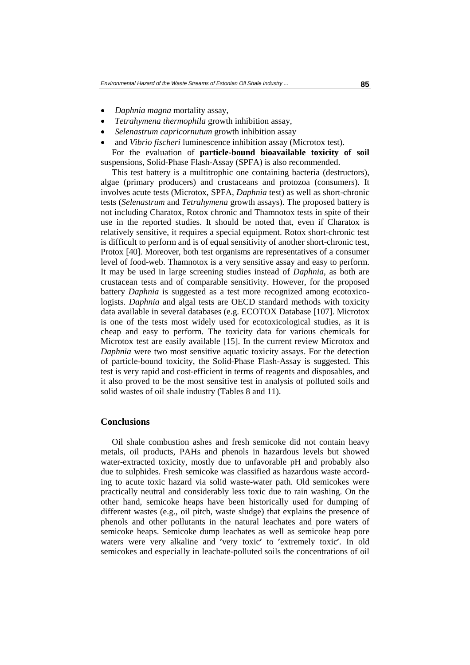- *Daphnia magna* mortality assay,
- *Tetrahymena thermophila* growth inhibition assay,
- *Selenastrum capricornutum* growth inhibition assay
- and *Vibrio fischeri* luminescence inhibition assay (Microtox test).

For the evaluation of **particle-bound bioavailable toxicity of soil** suspensions, Solid-Phase Flash-Assay (SPFA) is also recommended.

This test battery is a multitrophic one containing bacteria (destructors), algae (primary producers) and crustaceans and protozoa (consumers). It involves acute tests (Microtox, SPFA, *Daphnia* test) as well as short-chronic tests (*Selenastrum* and *Tetrahymena* growth assays). The proposed battery is not including Charatox, Rotox chronic and Thamnotox tests in spite of their use in the reported studies. It should be noted that, even if Charatox is relatively sensitive, it requires a special equipment. Rotox short-chronic test is difficult to perform and is of equal sensitivity of another short-chronic test, Protox [40]. Moreover, both test organisms are representatives of a consumer level of food-web. Thamnotox is a very sensitive assay and easy to perform. It may be used in large screening studies instead of *Daphnia*, as both are crustacean tests and of comparable sensitivity. However, for the proposed battery *Daphnia* is suggested as a test more recognized among ecotoxicologists. *Daphnia* and algal tests are OECD standard methods with toxicity data available in several databases (e.g. ECOTOX Database [107]. Microtox is one of the tests most widely used for ecotoxicological studies, as it is cheap and easy to perform. The toxicity data for various chemicals for Microtox test are easily available [15]. In the current review Microtox and *Daphnia* were two most sensitive aquatic toxicity assays. For the detection of particle-bound toxicity, the Solid-Phase Flash-Assay is suggested. This test is very rapid and cost-efficient in terms of reagents and disposables, and it also proved to be the most sensitive test in analysis of polluted soils and solid wastes of oil shale industry (Tables 8 and 11).

### **Conclusions**

Oil shale combustion ashes and fresh semicoke did not contain heavy metals, oil products, PAHs and phenols in hazardous levels but showed water-extracted toxicity, mostly due to unfavorable pH and probably also due to sulphides. Fresh semicoke was classified as hazardous waste according to acute toxic hazard via solid waste-water path. Old semicokes were practically neutral and considerably less toxic due to rain washing. On the other hand, semicoke heaps have been historically used for dumping of different wastes (e.g., oil pitch, waste sludge) that explains the presence of phenols and other pollutants in the natural leachates and pore waters of semicoke heaps. Semicoke dump leachates as well as semicoke heap pore waters were very alkaline and 'very toxic' to 'extremely toxic'. In old ′very toxic′ to ′extremely toxic′. In old semicokes and especially in leachate-polluted soils the concentrations of oil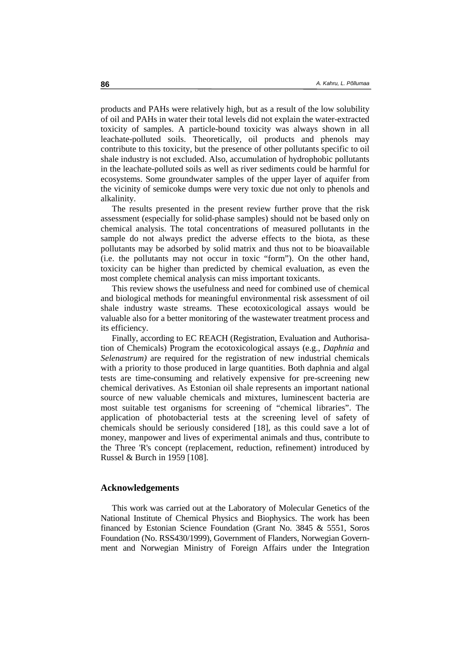products and PAHs were relatively high, but as a result of the low solubility of oil and PAHs in water their total levels did not explain the water-extracted toxicity of samples. A particle-bound toxicity was always shown in all leachate-polluted soils. Theoretically, oil products and phenols may contribute to this toxicity, but the presence of other pollutants specific to oil shale industry is not excluded. Also, accumulation of hydrophobic pollutants in the leachate-polluted soils as well as river sediments could be harmful for ecosystems. Some groundwater samples of the upper layer of aquifer from the vicinity of semicoke dumps were very toxic due not only to phenols and alkalinity.

The results presented in the present review further prove that the risk assessment (especially for solid-phase samples) should not be based only on chemical analysis. The total concentrations of measured pollutants in the sample do not always predict the adverse effects to the biota, as these pollutants may be adsorbed by solid matrix and thus not to be bioavailable (i.e. the pollutants may not occur in toxic "form"). On the other hand, toxicity can be higher than predicted by chemical evaluation, as even the most complete chemical analysis can miss important toxicants.

This review shows the usefulness and need for combined use of chemical and biological methods for meaningful environmental risk assessment of oil shale industry waste streams. These ecotoxicological assays would be valuable also for a better monitoring of the wastewater treatment process and its efficiency.

Finally, according to EC REACH (Registration, Evaluation and Authorisation of Chemicals) Program the ecotoxicological assays (e.g., *Daphnia* and *Selenastrum)* are required for the registration of new industrial chemicals with a priority to those produced in large quantities. Both daphnia and algal tests are time-consuming and relatively expensive for pre-screening new chemical derivatives. As Estonian oil shale represents an important national source of new valuable chemicals and mixtures, luminescent bacteria are most suitable test organisms for screening of "chemical libraries". The application of photobacterial tests at the screening level of safety of chemicals should be seriously considered [18], as this could save a lot of money, manpower and lives of experimental animals and thus, contribute to the Three 'R's concept (replacement, reduction, refinement) introduced by Russel & Burch in 1959 [108].

### **Acknowledgements**

This work was carried out at the Laboratory of Molecular Genetics of the National Institute of Chemical Physics and Biophysics. The work has been financed by Estonian Science Foundation (Grant No. 3845 & 5551, Soros Foundation (No. RSS430/1999), Government of Flanders, Norwegian Government and Norwegian Ministry of Foreign Affairs under the Integration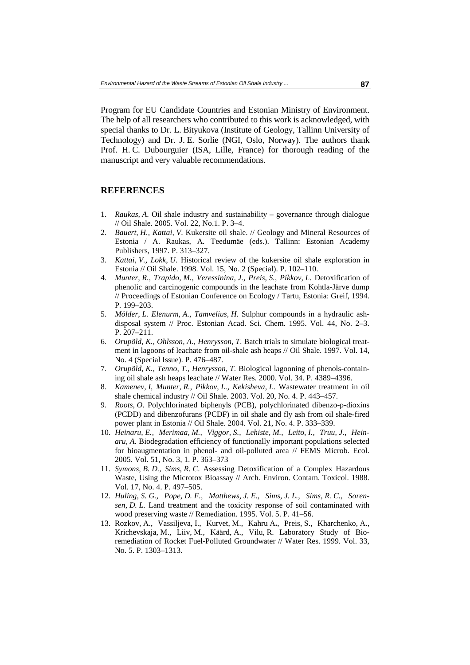Program for EU Candidate Countries and Estonian Ministry of Environment. The help of all researchers who contributed to this work is acknowledged, with special thanks to Dr. L. Bityukova (Institute of Geology, Tallinn University of Technology) and Dr. J. E. Sorlie (NGI, Oslo, Norway). The authors thank Prof. H. C. Dubourguier (ISA, Lille, France) for thorough reading of the manuscript and very valuable recommendations.

### **REFERENCES**

- 1. *Raukas, A*. Oil shale industry and sustainability governance through dialogue // Oil Shale. 2005. Vol. 22, No.1. P. 3–4.
- 2. *Bauert, H., Kattai, V*. Kukersite oil shale. // Geology and Mineral Resources of Estonia / A. Raukas, A. Teedumäe (eds.). Tallinn: Estonian Academy Publishers, 1997. P. 313–327.
- 3. *Kattai, V., Lokk, U*. Historical review of the kukersite oil shale exploration in Estonia // Oil Shale. 1998. Vol. 15, No. 2 (Special). P. 102–110.
- 4. *Munter, R., Trapido, M., Veressinina, J., Preis, S., Pikkov, L*. Detoxification of phenolic and carcinogenic compounds in the leachate from Kohtla-Järve dump // Proceedings of Estonian Conference on Ecology / Tartu, Estonia: Greif, 1994. P. 199–203.
- 5. *Mölder, L. Elenurm, A., Tamvelius, H*. Sulphur compounds in a hydraulic ashdisposal system // Proc. Estonian Acad. Sci. Chem. 1995. Vol. 44, No. 2–3. P. 207–211.
- 6. *Orupõld, K., Ohlsson, A., Henrysson, T*. Batch trials to simulate biological treatment in lagoons of leachate from oil-shale ash heaps // Oil Shale. 1997. Vol. 14, No. 4 (Special Issue). P. 476–487.
- 7. *Orupõld, K., Tenno, T., Henrysson, T*. Biological lagooning of phenols-containing oil shale ash heaps leachate // Water Res. 2000. Vol. 34. P. 4389–4396.
- 8. *Kamenev, I, Munter, R., Pikkov, L., Kekisheva, L*. Wastewater treatment in oil shale chemical industry // Oil Shale. 2003. Vol. 20, No. 4. P. 443–457.
- 9. *Roots, O*. Polychlorinated biphenyls (PCB), polychlorinated dibenzo-p-dioxins (PCDD) and dibenzofurans (PCDF) in oil shale and fly ash from oil shale-fired power plant in Estonia // Oil Shale. 2004. Vol. 21, No. 4. P. 333–339.
- 10. *Heinaru, E., Merimaa, M., Viggor, S., Lehiste, M., Leito, I., Truu, J., Heinaru, A*. Biodegradation efficiency of functionally important populations selected for bioaugmentation in phenol- and oil-polluted area // FEMS Microb. Ecol. 2005. Vol. 51, No. 3, 1. P. 363–373
- 11. *Symons, B. D., Sims, R. C*. Assessing Detoxification of a Complex Hazardous Waste, Using the Microtox Bioassay // Arch. Environ. Contam. Toxicol. 1988. Vol. 17, No. 4. P. 497–505.
- 12. *Huling, S. G., Pope, D. F., Matthews, J. E., Sims, J. L., Sims, R. C., Sorensen, D. L*. Land treatment and the toxicity response of soil contaminated with wood preserving waste // Remediation. 1995. Vol. 5. P. 41–56.
- 13. Rozkov, A., Vassiljeva, I., Kurvet, M., Kahru A**.**, Preis, S., Kharchenko, A., Krichevskaja, M., Liiv, M., Käärd, A., Vilu, R. Laboratory Study of Bioremediation of Rocket Fuel-Polluted Groundwater // Water Res. 1999. Vol. 33, No. 5. P. 1303–1313.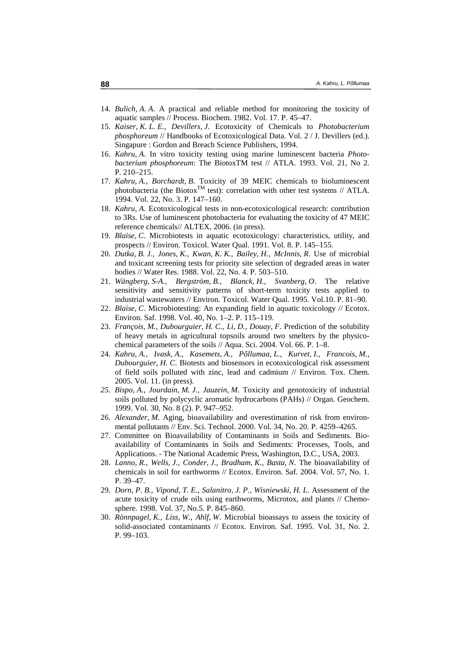- 14. *Bulich, A. A*. A practical and reliable method for monitoring the toxicity of aquatic samples // Process. Biochem. 1982. Vol. 17. P. 45–47.
- 15. *Kaiser, K. L. E., Devillers, J*. Ecotoxicity of Chemicals to *Photobacterium phosphoreum* // Handbooks of Ecotoxicological Data. Vol. 2 / J. Devillers (ed.). Singapure : Gordon and Breach Science Publishers, 1994.
- 16. *Kahru, A*. In vitro toxicity testing using marine luminescent bacteria *Photobacterium phosphoreum*: The BiotoxTM test // ATLA. 1993. Vol. 21, No 2. P. 210–215.
- 17. *Kahru, A., Borchardt, B*. Toxicity of 39 MEIC chemicals to bioluminescent photobacteria (the Biotox<sup>TM</sup> test): correlation with other test systems // ATLA. 1994. Vol. 22, No. 3. P. 147–160.
- 18. *Kahru, A*. Ecotoxicological tests in non-ecotoxicological research: contribution to 3Rs. Use of luminescent photobacteria for evaluating the toxicity of 47 MEIC reference chemicals// ALTEX, 2006. (in press).
- 19. *Blaise, C*. Microbiotests in aquatic ecotoxicology: characteristics, utility, and prospects // Environ. Toxicol. Water Qual. 1991. Vol. 8. P. 145–155.
- 20. *Dutka, B. J., Jones, K., Kwan, K. K., Bailey, H., McInnis, R*. Use of microbial and toxicant screening tests for priority site selection of degraded areas in water bodies // Water Res. 1988. Vol. 22, No. 4. P. 503–510.
- 21. *Wängberg, S-A., Bergström, B., Blanck, H., Svanberg, O*. The relative sensitivity and sensitivity patterns of short-term toxicity tests applied to industrial wastewaters // Environ. Toxicol. Water Qual. 1995. Vol.10. P. 81–90.
- 22. *Blaise, C*. Microbiotesting: An expanding field in aquatic toxicology // Ecotox. Environ. Saf. 1998. Vol. 40, No. 1–2. P. 115–119.
- 23. *François, M., Dubourguier, H. C., Li, D., Douay, F*. Prediction of the solubility of heavy metals in agricultural topsoils around two smelters by the physicochemical parameters of the soils // Aqua. Sci. 2004. Vol. 66. P. 1–8.
- 24. *Kahru, A., Ivask, A., Kasemets, A., Põllumaa, L., Kurvet, I., Francois, M., Dubourguier, H. C*. Biotests and biosensors in ecotoxicological risk assessment of field soils polluted with zinc, lead and cadmium // Environ. Tox. Chem. 2005. Vol. 11. (in press).
- *25. Bispo, A., Jourdain, M. J., Jauzein, M*. Toxicity and genotoxicity of industrial soils polluted by polycyclic aromatic hydrocarbons (PAHs) // Organ. Geochem. 1999. Vol. 30, No. 8 (2). P. 947–952.
- 26. *Alexander, M*. Aging, bioavailability and overestimation of risk from environmental pollutants // Env. Sci. Technol. 2000. Vol. 34, No. 20. P. 4259–4265.
- 27. Committee on Bioavailability of Contaminants in Soils and Sediments. Bioavailability of Contaminants in Soils and Sediments: Processes, Tools, and Applications. - The National Academic Press, Washington, D.C., USA, 2003.
- 28. *Lanno, R., Wells, J., Conder, J., Bradham, K., Basta, N*. The bioavailability of chemicals in soil for earthworms // Ecotox. Environ. Saf. 2004. Vol. 57, No. 1. P. 39–47.
- 29. *Dorn, P. B., Vipond, T. E., Salanitro, J. P., Wisniewski, H. L*. Assessment of the acute toxicity of crude oils using earthworms, Microtox, and plants // Chemosphere. 1998. Vol. 37, No.5. P. 845–860.
- 30. *Rönnpagel, K., Liss, W., Ahlf, W*. Microbial bioassays to assess the toxicity of solid-associated contaminants // Ecotox. Environ. Saf. 1995. Vol. 31, No. 2. P. 99–103.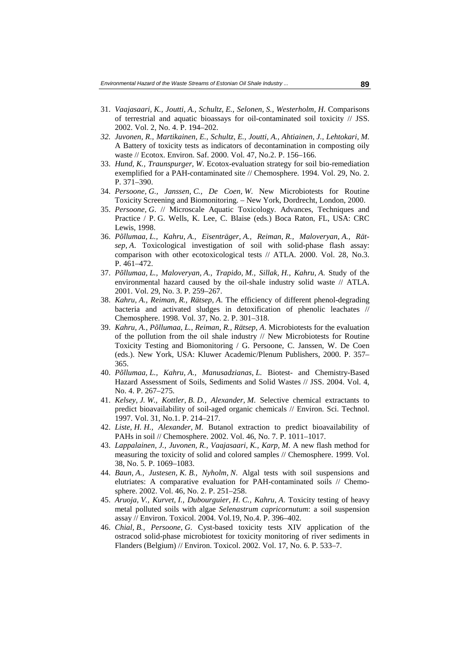- 31. *Vaajasaari, K., Joutti, A., Schultz, E., Selonen, S., Westerholm, H*. Comparisons of terrestrial and aquatic bioassays for oil-contaminated soil toxicity // JSS. 2002. Vol. 2, No. 4. P. 194–202.
- *32. Juvonen, R., Martikainen, E., Schultz, E., Joutti, A., Ahtiainen, J., Lehtokari, M*. A Battery of toxicity tests as indicators of decontamination in composting oily waste // Ecotox. Environ. Saf. 2000. Vol. 47, No.2. P. 156–166.
- 33. *Hund, K., Traunspurger, W*. Ecotox-evaluation strategy for soil bio-remediation exemplified for a PAH-contaminated site // Chemosphere. 1994. Vol. 29, No. 2. P. 371–390.
- 34. *Persoone, G., Janssen, C., De Coen, W*. New Microbiotests for Routine Toxicity Screening and Biomonitoring. – New York, Dordrecht, London, 2000.
- 35. *Persoone, G*. // Microscale Aquatic Toxicology. Advances, Techniques and Practice / P. G. Wells, K. Lee, C. Blaise (eds.) Boca Raton, FL, USA: CRC Lewis, 1998.
- 36. *Põllumaa, L., Kahru, A., Eisenträger, A., Reiman, R., Maloveryan, A., Rätsep, A*. Toxicological investigation of soil with solid-phase flash assay: comparison with other ecotoxicological tests // ATLA. 2000. Vol. 28, No.3. P. 461–472.
- 37. *Põllumaa, L., Maloveryan, A., Trapido, M., Sillak, H., Kahru, A*. Study of the environmental hazard caused by the oil-shale industry solid waste // ATLA. 2001. Vol. 29, No. 3. P. 259–267.
- 38. *Kahru, A., Reiman, R., Rätsep, A*. The efficiency of different phenol-degrading bacteria and activated sludges in detoxification of phenolic leachates // Chemosphere. 1998. Vol. 37, No. 2. P. 301–318.
- 39. *Kahru, A., Põllumaa, L., Reiman, R., Rätsep, A*. Microbiotests for the evaluation of the pollution from the oil shale industry // New Microbiotests for Routine Toxicity Testing and Biomonitoring / G. Persoone, C. Janssen, W. De Coen (eds.). New York, USA: Kluwer Academic/Plenum Publishers, 2000. P. 357– 365.
- 40. *Põllumaa, L., Kahru, A., Manusadzianas, L.* Biotest- and Chemistry-Based Hazard Assessment of Soils, Sediments and Solid Wastes // JSS. 2004. Vol. 4, No. 4. P. 267–275.
- 41. *Kelsey, J. W., Kottler, B. D., Alexander, M*. Selective chemical extractants to predict bioavailability of soil-aged organic chemicals // Environ. Sci. Technol. 1997. Vol. 31, No.1. P. 214–217.
- 42. *Liste, H. H., Alexander, M*. Butanol extraction to predict bioavailability of PAHs in soil // Chemosphere. 2002. Vol. 46, No. 7. P. 1011–1017.
- 43. *Lappalainen, J., Juvonen, R., Vaajasaari, K., Karp, M*. A new flash method for measuring the toxicity of solid and colored samples // Chemosphere. 1999. Vol. 38, No. 5. P. 1069–1083.
- 44. *Baun, A., Justesen, K. B., Nyholm, N*. Algal tests with soil suspensions and elutriates: A comparative evaluation for PAH-contaminated soils // Chemosphere. 2002. Vol. 46, No. 2. P. 251–258.
- 45. *Aruoja, V., Kurvet, I., Dubourguier, H. C., Kahru, A*. Toxicity testing of heavy metal polluted soils with algae *Selenastrum capricornutum*: a soil suspension assay // Environ. Toxicol. 2004. Vol.19, No.4. P. 396–402.
- 46. *Chial, B., Persoone, G*. Cyst-based toxicity tests XIV application of the ostracod solid-phase microbiotest for toxicity monitoring of river sediments in Flanders (Belgium) // Environ. Toxicol. 2002. Vol. 17, No. 6. P. 533–7.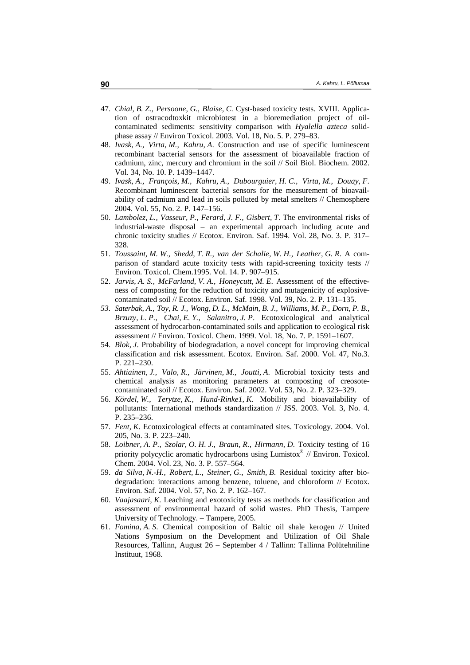- 47. *Chial, B. Z., Persoone, G., Blaise, C*. Cyst-based toxicity tests. XVIII. Application of ostracodtoxkit microbiotest in a bioremediation project of oilcontaminated sediments: sensitivity comparison with *Hyalella azteca* solidphase assay // Environ Toxicol. 2003. Vol. 18, No. 5. P. 279–83.
- 48. *Ivask, A., Virta, M., Kahru, A*. Construction and use of specific luminescent recombinant bacterial sensors for the assessment of bioavailable fraction of cadmium, zinc, mercury and chromium in the soil // Soil Biol. Biochem. 2002. Vol. 34, No. 10. P. 1439–1447.
- 49. *Ivask, A., François, M., Kahru, A., Dubourguier, H. C., Virta, M., Douay, F*. Recombinant luminescent bacterial sensors for the measurement of bioavailability of cadmium and lead in soils polluted by metal smelters // Chemosphere 2004. Vol. 55, No. 2. P. 147–156.
- 50. *Lambolez, L., Vasseur, P., Ferard, J. F., Gisbert, T*. The environmental risks of industrial-waste disposal – an experimental approach including acute and chronic toxicity studies // Ecotox. Environ. Saf. 1994. Vol. 28, No. 3. P. 317– 328.
- 51. *Toussaint, M. W., Shedd, T. R., van der Schalie, W. H., Leather, G. R*. A comparison of standard acute toxicity tests with rapid-screening toxicity tests // Environ. Toxicol. Chem.1995. Vol. 14. P. 907–915.
- 52. *Jarvis, A. S., McFarland, V. A., Honeycutt, M. E*. Assessment of the effectiveness of composting for the reduction of toxicity and mutagenicity of explosivecontaminated soil // Ecotox. Environ. Saf. 1998. Vol. 39, No. 2. P. 131–135.
- *53. Saterbak, A., Toy, R. J., Wong, D. L., McMain, B. J., Williams, M. P., Dorn, P. B., Brzuzy, L. P., Chai, E. Y., Salanitro, J. P*. Ecotoxicological and analytical assessment of hydrocarbon-contaminated soils and application to ecological risk assessment // Environ. Toxicol. Chem. 1999. Vol. 18, No. 7. P. 1591–1607.
- 54. *Blok, J*. Probability of biodegradation, a novel concept for improving chemical classification and risk assessment. Ecotox. Environ. Saf. 2000. Vol. 47, No.3. P. 221–230.
- 55. *Ahtiainen, J., Valo, R., Järvinen, M., Joutti, A*. Microbial toxicity tests and chemical analysis as monitoring parameters at composting of creosotecontaminated soil // Ecotox. Environ. Saf. 2002. Vol. 53, No. 2. P. 323–329.
- 56. *Kördel, W., Terytze, K., Hund-Rinke1, K*. Mobility and bioavailability of pollutants: International methods standardization // JSS. 2003. Vol. 3, No. 4. P. 235–236.
- 57. *Fent, K*. Ecotoxicological effects at contaminated sites. Toxicology*.* 2004. Vol. 205, No. 3. P. 223–240.
- 58. *Loibner, A. P., Szolar, O. H. J., Braun, R., Hirmann, D*. Toxicity testing of 16 priority polycyclic aromatic hydrocarbons using Lumistox  $\mathscr{N}/\mathscr{E}$  Environ. Toxicol. Chem. 2004. Vol. 23, No. 3. P. 557–564.
- 59. *da Silva, N.-H., Robert, L., Steiner, G., Smith, B*. Residual toxicity after biodegradation: interactions among benzene, toluene, and chloroform // Ecotox. Environ. Saf. 2004. Vol. 57, No. 2. P. 162–167.
- 60. *Vaajasaari, K*. Leaching and exotoxicity tests as methods for classification and assessment of environmental hazard of solid wastes. PhD Thesis, Tampere University of Technology. – Tampere, 2005.
- 61. *Fomina, A. S*. Chemical composition of Baltic oil shale kerogen // United Nations Symposium on the Development and Utilization of Oil Shale Resources, Tallinn, August 26 – September 4 / Tallinn: Tallinna Polütehniline Instituut, 1968.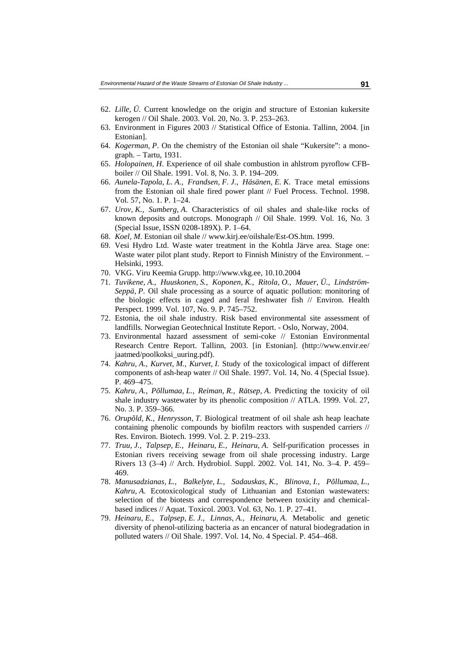- 62. *Lille, Ü*. Current knowledge on the origin and structure of Estonian kukersite kerogen // Oil Shale. 2003. Vol. 20, No. 3. P. 253–263.
- 63. Environment in Figures 2003 // Statistical Office of Estonia. Tallinn, 2004. [in Estonian].
- 64. *Kogerman, P*. On the chemistry of the Estonian oil shale "Kukersite": a monograph. – Tartu, 1931.
- 65. *Holopainen, H*. Experience of oil shale combustion in ahlstrom pyroflow CFBboiler // Oil Shale*.* 1991. Vol. 8, No. 3. P. 194–209.
- 66. *Aunela-Tapola, L. A., Frandsen, F. J., Häsänen, E. K*. Trace metal emissions from the Estonian oil shale fired power plant // Fuel Process. Technol. 1998. Vol. 57, No. 1. P. 1–24.
- 67. *Urov, K., Sumberg, A*. Characteristics of oil shales and shale-like rocks of known deposits and outcrops. Monograph // Oil Shale. 1999. Vol. 16, No. 3 (Special Issue, ISSN 0208-189X). P. 1–64.
- 68. *Koel, M*. Estonian oil shale // www.kirj.ee/oilshale/Est-OS.htm. 1999.
- 69. Vesi Hydro Ltd. Waste water treatment in the Kohtla Järve area. Stage one: Waste water pilot plant study. Report to Finnish Ministry of the Environment. – Helsinki, 1993.
- 70. VKG. Viru Keemia Grupp. http://www.vkg.ee, 10.10.2004
- 71. *Tuvikene, A., Huuskonen, S., Koponen, K., Ritola, O., Mauer, Ü., Lindström-Seppä, P*. Oil shale processing as a source of aquatic pollution: monitoring of the biologic effects in caged and feral freshwater fish // Environ. Health Perspect. 1999. Vol. 107, No. 9. P. 745–752.
- 72. Estonia, the oil shale industry. Risk based environmental site assessment of landfills. Norwegian Geotechnical Institute Report. - Oslo, Norway, 2004.
- 73. Environmental hazard assessment of semi-coke // Estonian Environmental Research Centre Report. Tallinn, 2003. [in Estonian]. (http://www.envir.ee/ jaatmed/poolkoksi\_uuring.pdf).
- 74. *Kahru, A., Kurvet, M., Kurvet, I*. Study of the toxicological impact of different components of ash-heap water // Oil Shale. 1997. Vol. 14, No. 4 (Special Issue). P. 469–475.
- 75. *Kahru, A., Põllumaa, L., Reiman, R., Rätsep, A*. Predicting the toxicity of oil shale industry wastewater by its phenolic composition // ATLA. 1999. Vol. 27, No. 3. P. 359–366.
- 76. *Orupõld, K., Henrysson, T*. Biological treatment of oil shale ash heap leachate containing phenolic compounds by biofilm reactors with suspended carriers // Res. Environ. Biotech. 1999. Vol. 2. P. 219–233.
- 77. *Truu, J., Talpsep, E., Heinaru, E., Heinaru, A*. Self-purification processes in Estonian rivers receiving sewage from oil shale processing industry. Large Rivers 13 (3–4) // Arch. Hydrobiol. Suppl. 2002. Vol. 141, No. 3–4. P. 459– 469.
- 78. *Manusadzianas, L., Balkelyte, L., Sadauskas, K., Blinova, I., Põllumaa, L., Kahru, A*. Ecotoxicological study of Lithuanian and Estonian wastewaters: selection of the biotests and correspondence between toxicity and chemicalbased indices // Aquat. Toxicol. 2003. Vol. 63, No. 1. P. 27–41.
- 79. *Heinaru, E., Talpsep, E. J., Linnas, A., Heinaru, A*. Metabolic and genetic diversity of phenol-utilizing bacteria as an encancer of natural biodegradation in polluted waters // Oil Shale. 1997. Vol. 14, No. 4 Special. P. 454–468.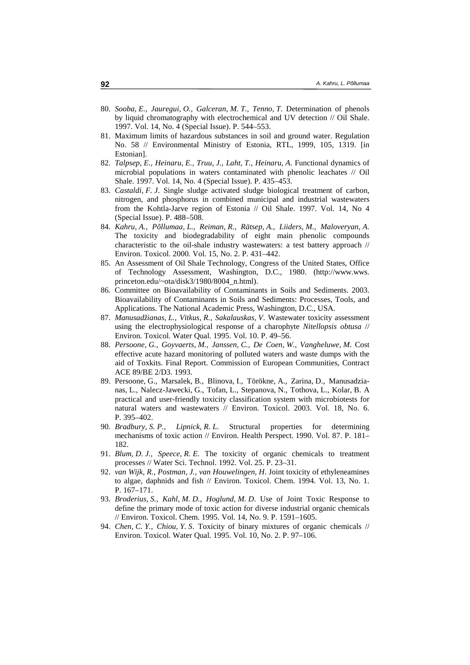- 80. *Sooba, E., Jauregui, O., Galceran, M. T., Tenno, T*. Determination of phenols by liquid chromatography with electrochemical and UV detection // Oil Shale. 1997. Vol. 14, No. 4 (Special Issue). P. 544–553.
- 81. Maximum limits of hazardous substances in soil and ground water. Regulation No. 58 // Environmental Ministry of Estonia, RTL, 1999, 105, 1319. [in Estonian].
- 82. *Talpsep, E., Heinaru, E., Truu, J., Laht, T., Heinaru, A*. Functional dynamics of microbial populations in waters contaminated with phenolic leachates // Oil Shale. 1997. Vol. 14, No. 4 (Special Issue). P. 435–453.
- 83. *Castaldi, F. J*. Single sludge activated sludge biological treatment of carbon, nitrogen, and phosphorus in combined municipal and industrial wastewaters from the Kohtla-Jarve region of Estonia // Oil Shale. 1997. Vol. 14, No 4 (Special Issue). P. 488–508.
- 84. *Kahru, A., Põllumaa, L., Reiman, R., Rätsep, A., Liiders, M., Maloveryan, A*. The toxicity and biodegradability of eight main phenolic compounds characteristic to the oil-shale industry wastewaters: a test battery approach // Environ. Toxicol. 2000. Vol. 15, No. 2. P. 431–442.
- 85. An Assessment of Oil Shale Technology, Congress of the United States, Office of Technology Assessment, Washington, D.C., 1980. (http://www.wws. princeton.edu/~ota/disk3/1980/8004\_n.html).
- 86. Committee on Bioavailability of Contaminants in Soils and Sediments. 2003. Bioavailability of Contaminants in Soils and Sediments: Processes, Tools, and Applications. The National Academic Press, Washington, D.C., USA.
- 87. *Manusadžianas, L., Vitkus, R., Sakalauskas, V*. Wastewater toxicity assessment using the electrophysiological response of a charophyte *Nitellopsis obtusa* // Environ. Toxicol. Water Qual. 1995. Vol. 10. P. 49–56.
- 88. *Persoone, G., Goyvaerts, M., Janssen, C., De Coen, W., Vangheluwe, M*. Cost effective acute hazard monitoring of polluted waters and waste dumps with the aid of Toxkits. Final Report. Commission of European Communities, Contract ACE 89/BE 2/D3. 1993.
- 89. Persoone, G., Marsalek, B., Blinova, I., Törökne, A., Zarina, D., Manusadzianas, L., Nalecz-Jawecki, G., Tofan, L., Stepanova, N., Tothova, L., Kolar, B. A practical and user-friendly toxicity classification system with microbiotests for natural waters and wastewaters // Environ. Toxicol. 2003. Vol. 18, No. 6. P. 395–402.
- 90. *Bradbury, S. P., Lipnick, R. L*. Structural properties for determining mechanisms of toxic action // Environ. Health Perspect. 1990. Vol. 87. P. 181– 182.
- 91. *Blum, D. J., Speece, R. E*. The toxicity of organic chemicals to treatment processes // Water Sci. Technol. 1992. Vol. 25. P. 23–31.
- 92. *van Wijk, R., Postman, J., van Houwelingen, H*. Joint toxicity of ethyleneamines to algae, daphnids and fish // Environ. Toxicol. Chem. 1994. Vol. 13, No. 1. P. 167–171.
- 93. *Broderius, S., Kahl, M. D., Hoglund, M. D*. Use of Joint Toxic Response to define the primary mode of toxic action for diverse industrial organic chemicals // Environ. Toxicol. Chem. 1995. Vol. 14, No. 9. P. 1591–1605.
- 94. *Chen, C. Y., Chiou, Y. S*. Toxicity of binary mixtures of organic chemicals // Environ. Toxicol. Water Qual. 1995. Vol. 10, No. 2. P. 97–106.